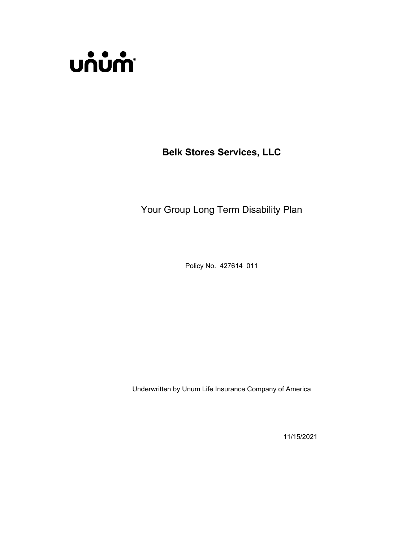

**Belk Stores Services, LLC**

Your Group Long Term Disability Plan

Policy No. 427614 011

Underwritten by Unum Life Insurance Company of America

11/15/2021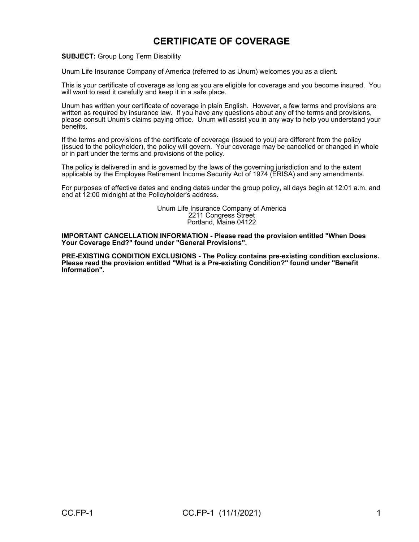# **CERTIFICATE OF COVERAGE**

#### **SUBJECT:** Group Long Term Disability

Unum Life Insurance Company of America (referred to as Unum) welcomes you as a client.

This is your certificate of coverage as long as you are eligible for coverage and you become insured. You will want to read it carefully and keep it in a safe place.

Unum has written your certificate of coverage in plain English. However, a few terms and provisions are written as required by insurance law. If you have any questions about any of the terms and provisions, please consult Unum's claims paying office. Unum will assist you in any way to help you understand your benefits.

If the terms and provisions of the certificate of coverage (issued to you) are different from the policy (issued to the policyholder), the policy will govern. Your coverage may be cancelled or changed in whole or in part under the terms and provisions of the policy.

The policy is delivered in and is governed by the laws of the governing jurisdiction and to the extent applicable by the Employee Retirement Income Security Act of 1974 (ERISA) and any amendments.

For purposes of effective dates and ending dates under the group policy, all days begin at 12:01 a.m. and end at 12:00 midnight at the Policyholder's address.

> Unum Life Insurance Company of America 2211 Congress Street Portland, Maine 04122

**IMPORTANT CANCELLATION INFORMATION - Please read the provision entitled "When Does Your Coverage End?" found under "General Provisions".**

**PRE-EXISTING CONDITION EXCLUSIONS - The Policy contains pre-existing condition exclusions. Please read the provision entitled "What is a Pre-existing Condition?" found under "Benefit Information".**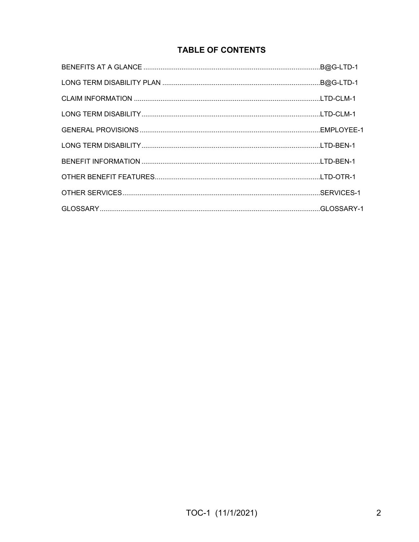# **TABLE OF CONTENTS**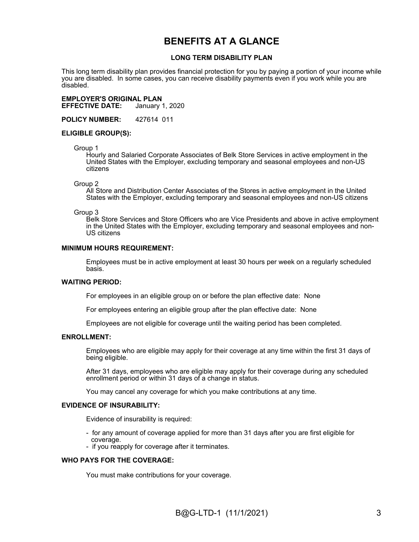# **BENEFITS AT A GLANCE**

#### **LONG TERM DISABILITY PLAN**

This long term disability plan provides financial protection for you by paying a portion of your income while you are disabled. In some cases, you can receive disability payments even if you work while you are disabled.

**EMPLOYER'S ORIGINAL PLAN EFFECTIVE DATE:** 

**POLICY NUMBER:** 427614 011

#### **ELIGIBLE GROUP(S):**

Group 1

Hourly and Salaried Corporate Associates of Belk Store Services in active employment in the United States with the Employer, excluding temporary and seasonal employees and non-US citizens

Group 2

All Store and Distribution Center Associates of the Stores in active employment in the United States with the Employer, excluding temporary and seasonal employees and non-US citizens

Group 3

Belk Store Services and Store Officers who are Vice Presidents and above in active employment in the United States with the Employer, excluding temporary and seasonal employees and non-US citizens

#### **MINIMUM HOURS REQUIREMENT:**

Employees must be in active employment at least 30 hours per week on a regularly scheduled basis.

#### **WAITING PERIOD:**

For employees in an eligible group on or before the plan effective date: None

For employees entering an eligible group after the plan effective date: None

Employees are not eligible for coverage until the waiting period has been completed.

#### **ENROLLMENT:**

Employees who are eligible may apply for their coverage at any time within the first 31 days of being eligible.

After 31 days, employees who are eligible may apply for their coverage during any scheduled enrollment period or within 31 days of a change in status.

You may cancel any coverage for which you make contributions at any time.

#### **EVIDENCE OF INSURABILITY:**

Evidence of insurability is required:

- for any amount of coverage applied for more than 31 days after you are first eligible for coverage.
- if you reapply for coverage after it terminates.

#### **WHO PAYS FOR THE COVERAGE:**

You must make contributions for your coverage.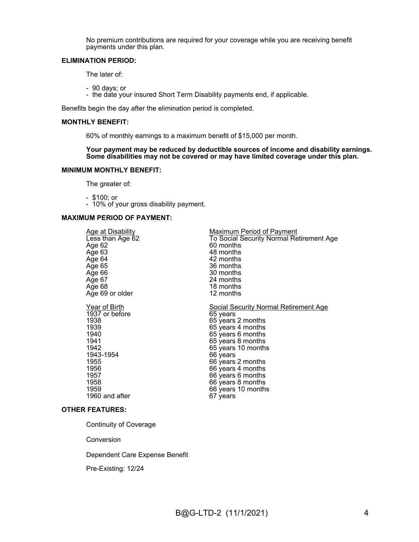No premium contributions are required for your coverage while you are receiving benefit payments under this plan.

#### **ELIMINATION PERIOD:**

The later of:

- 90 days; or
- the date your insured Short Term Disability payments end, if applicable.

Benefits begin the day after the elimination period is completed.

#### **MONTHLY BENEFIT:**

60% of monthly earnings to a maximum benefit of \$15,000 per month.

#### **Your payment may be reduced by deductible sources of income and disability earnings. Some disabilities may not be covered or may have limited coverage under this plan.**

#### **MINIMUM MONTHLY BENEFIT:**

The greater of:

- \$100; or

- 10% of your gross disability payment.

#### **MAXIMUM PERIOD OF PAYMENT:**

| <b>Age at Disability</b> | Maximum Period of Payment                    |
|--------------------------|----------------------------------------------|
| Less than Age 62         | To Social Security Normal Retirement Age     |
| Age 62                   | 60 months                                    |
| Age 63                   | 48 months                                    |
| Age 64                   | 42 months                                    |
| Age 65                   | 36 months                                    |
| Age 66                   | 30 months                                    |
| Age 67                   | 24 months                                    |
| Age 68                   | 18 months                                    |
| Age 69 or older          | 12 months                                    |
| Year of Birth            | <b>Social Security Normal Retirement Age</b> |
| 1937 or before           | 65 years                                     |
| 1938                     | 65 years 2 months                            |
| 1939                     | 65 years 4 months                            |
| 1940                     | 65 years 6 months                            |
| 1941                     | 65 years 8 months                            |
| 1942                     | 65 years 10 months                           |
| 1943-1954                | 66 years                                     |
| 1955                     | 66 years 2 months                            |
| 1956                     | 66 years 4 months                            |
| 1957                     | 66 years 6 months                            |
| 1958                     | 66 years 8 months                            |
| 1959                     | 66 years 10 months                           |
| 1960 and after           | 67 years                                     |

#### **OTHER FEATURES:**

Continuity of Coverage

Conversion

Dependent Care Expense Benefit

Pre-Existing: 12/24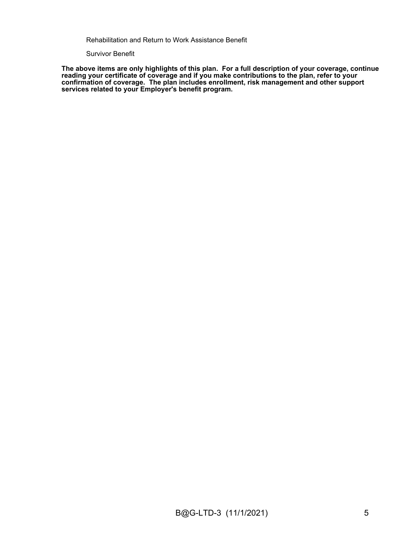Rehabilitation and Return to Work Assistance Benefit

#### Survivor Benefit

**The above items are only highlights of this plan. For a full description of your coverage, continue reading your certificate of coverage and if you make contributions to the plan, refer to your confirmation of coverage. The plan includes enrollment, risk management and other support services related to your Employer's benefit program.**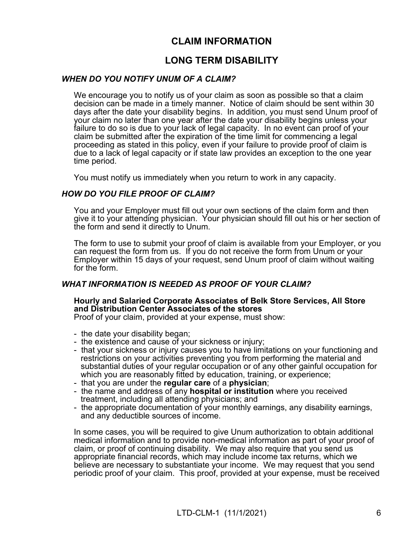# **CLAIM INFORMATION**

# **LONG TERM DISABILITY**

## *WHEN DO YOU NOTIFY UNUM OF A CLAIM?*

We encourage you to notify us of your claim as soon as possible so that a claim decision can be made in a timely manner. Notice of claim should be sent within 30 days after the date your disability begins. In addition, you must send Unum proof of your claim no later than one year after the date your disability begins unless your failure to do so is due to your lack of legal capacity. In no event can proof of your claim be submitted after the expiration of the time limit for commencing a legal proceeding as stated in this policy, even if your failure to provide proof of claim is due to a lack of legal capacity or if state law provides an exception to the one year time period.

You must notify us immediately when you return to work in any capacity.

### *HOW DO YOU FILE PROOF OF CLAIM?*

You and your Employer must fill out your own sections of the claim form and then give it to your attending physician. Your physician should fill out his or her section of the form and send it directly to Unum.

The form to use to submit your proof of claim is available from your Employer, or you can request the form from us. If you do not receive the form from Unum or your Employer within 15 days of your request, send Unum proof of claim without waiting for the form.

### *WHAT INFORMATION IS NEEDED AS PROOF OF YOUR CLAIM?*

## **Hourly and Salaried Corporate Associates of Belk Store Services, All Store and Distribution Center Associates of the stores**

Proof of your claim, provided at your expense, must show:

- the date your disability began;
- the existence and cause of your sickness or injury;
- that your sickness or injury causes you to have limitations on your functioning and restrictions on your activities preventing you from performing the material and substantial duties of your regular occupation or of any other gainful occupation for which you are reasonably fitted by education, training, or experience;
- that you are under the **regular care** of a **physician**;
- the name and address of any **hospital or institution** where you received treatment, including all attending physicians; and
- the appropriate documentation of your monthly earnings, any disability earnings, and any deductible sources of income.

In some cases, you will be required to give Unum authorization to obtain additional medical information and to provide non-medical information as part of your proof of claim, or proof of continuing disability. We may also require that you send us appropriate financial records, which may include income tax returns, which we believe are necessary to substantiate your income. We may request that you send periodic proof of your claim. This proof, provided at your expense, must be received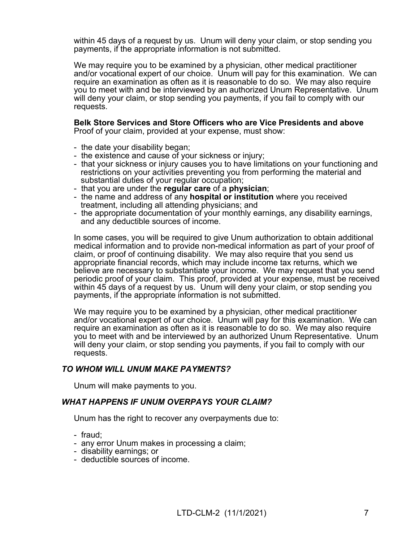within 45 days of a request by us. Unum will deny your claim, or stop sending you payments, if the appropriate information is not submitted.

We may require you to be examined by a physician, other medical practitioner and/or vocational expert of our choice. Unum will pay for this examination. We can require an examination as often as it is reasonable to do so. We may also require you to meet with and be interviewed by an authorized Unum Representative. Unum will deny your claim, or stop sending you payments, if you fail to comply with our requests.

**Belk Store Services and Store Officers who are Vice Presidents and above** Proof of your claim, provided at your expense, must show:

- the date your disability began;
- the existence and cause of your sickness or injury;
- that your sickness or injury causes you to have limitations on your functioning and restrictions on your activities preventing you from performing the material and substantial duties of your regular occupation;
- that you are under the **regular care** of a **physician**;
- the name and address of any **hospital or institution** where you received treatment, including all attending physicians; and
- the appropriate documentation of your monthly earnings, any disability earnings, and any deductible sources of income.

In some cases, you will be required to give Unum authorization to obtain additional medical information and to provide non-medical information as part of your proof of claim, or proof of continuing disability. We may also require that you send us appropriate financial records, which may include income tax returns, which we believe are necessary to substantiate your income. We may request that you send periodic proof of your claim. This proof, provided at your expense, must be received within 45 days of a request by us. Unum will deny your claim, or stop sending you payments, if the appropriate information is not submitted.

We may require you to be examined by a physician, other medical practitioner and/or vocational expert of our choice. Unum will pay for this examination. We can require an examination as often as it is reasonable to do so. We may also require you to meet with and be interviewed by an authorized Unum Representative. Unum will deny your claim, or stop sending you payments, if you fail to comply with our requests.

### *TO WHOM WILL UNUM MAKE PAYMENTS?*

Unum will make payments to you.

### *WHAT HAPPENS IF UNUM OVERPAYS YOUR CLAIM?*

Unum has the right to recover any overpayments due to:

- fraud;
- any error Unum makes in processing a claim;
- disability earnings; or
- deductible sources of income.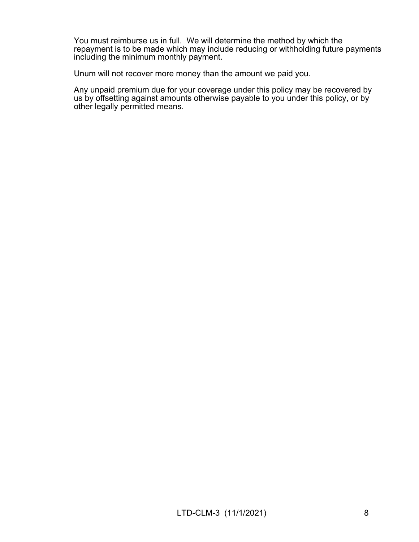You must reimburse us in full. We will determine the method by which the repayment is to be made which may include reducing or withholding future payments including the minimum monthly payment.

Unum will not recover more money than the amount we paid you.

Any unpaid premium due for your coverage under this policy may be recovered by us by offsetting against amounts otherwise payable to you under this policy, or by other legally permitted means.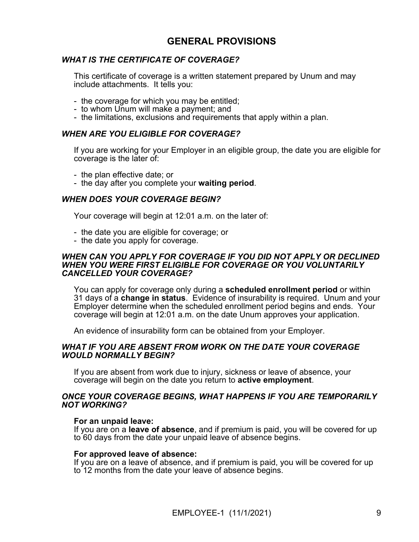# **GENERAL PROVISIONS**

## *WHAT IS THE CERTIFICATE OF COVERAGE?*

This certificate of coverage is a written statement prepared by Unum and may include attachments. It tells you:

- the coverage for which you may be entitled;
- to whom Unum will make a payment; and
- the limitations, exclusions and requirements that apply within a plan.

## *WHEN ARE YOU ELIGIBLE FOR COVERAGE?*

If you are working for your Employer in an eligible group, the date you are eligible for coverage is the later of:

- the plan effective date; or
- the day after you complete your **waiting period**.

## *WHEN DOES YOUR COVERAGE BEGIN?*

Your coverage will begin at 12:01 a.m. on the later of:

- the date you are eligible for coverage; or
- the date you apply for coverage.

### *WHEN CAN YOU APPLY FOR COVERAGE IF YOU DID NOT APPLY OR DECLINED WHEN YOU WERE FIRST ELIGIBLE FOR COVERAGE OR YOU VOLUNTARILY CANCELLED YOUR COVERAGE?*

You can apply for coverage only during a **scheduled enrollment period** or within 31 days of a **change in status**. Evidence of insurability is required. Unum and your Employer determine when the scheduled enrollment period begins and ends. Your coverage will begin at 12:01 a.m. on the date Unum approves your application.

An evidence of insurability form can be obtained from your Employer.

### *WHAT IF YOU ARE ABSENT FROM WORK ON THE DATE YOUR COVERAGE WOULD NORMALLY BEGIN?*

If you are absent from work due to injury, sickness or leave of absence, your coverage will begin on the date you return to **active employment**.

### *ONCE YOUR COVERAGE BEGINS, WHAT HAPPENS IF YOU ARE TEMPORARILY NOT WORKING?*

### **For an unpaid leave:**

If you are on a **leave of absence**, and if premium is paid, you will be covered for up to 60 days from the date your unpaid leave of absence begins.

### **For approved leave of absence:**

If you are on a leave of absence, and if premium is paid, you will be covered for up to 12 months from the date your leave of absence begins.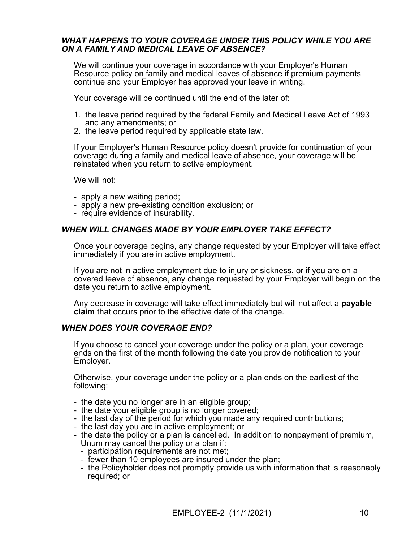## *WHAT HAPPENS TO YOUR COVERAGE UNDER THIS POLICY WHILE YOU ARE ON A FAMILY AND MEDICAL LEAVE OF ABSENCE?*

We will continue your coverage in accordance with your Employer's Human Resource policy on family and medical leaves of absence if premium payments continue and your Employer has approved your leave in writing.

Your coverage will be continued until the end of the later of:

- 1. the leave period required by the federal Family and Medical Leave Act of 1993 and any amendments; or
- 2. the leave period required by applicable state law.

If your Employer's Human Resource policy doesn't provide for continuation of your coverage during a family and medical leave of absence, your coverage will be reinstated when you return to active employment.

We will not:

- apply a new waiting period;
- apply a new pre-existing condition exclusion; or
- require evidence of insurability.

## *WHEN WILL CHANGES MADE BY YOUR EMPLOYER TAKE EFFECT?*

Once your coverage begins, any change requested by your Employer will take effect immediately if you are in active employment.

If you are not in active employment due to injury or sickness, or if you are on a covered leave of absence, any change requested by your Employer will begin on the date you return to active employment.

Any decrease in coverage will take effect immediately but will not affect a **payable claim** that occurs prior to the effective date of the change.

### *WHEN DOES YOUR COVERAGE END?*

If you choose to cancel your coverage under the policy or a plan, your coverage ends on the first of the month following the date you provide notification to your Employer.

Otherwise, your coverage under the policy or a plan ends on the earliest of the following:

- the date you no longer are in an eligible group;
- the date your eligible group is no longer covered;
- the last day of the period for which you made any required contributions;
- the last day you are in active employment; or
- the date the policy or a plan is cancelled. In addition to nonpayment of premium, Unum may cancel the policy or a plan if:
	- participation requirements are not met;
	- fewer than 10 employees are insured under the plan;
	- the Policyholder does not promptly provide us with information that is reasonably required; or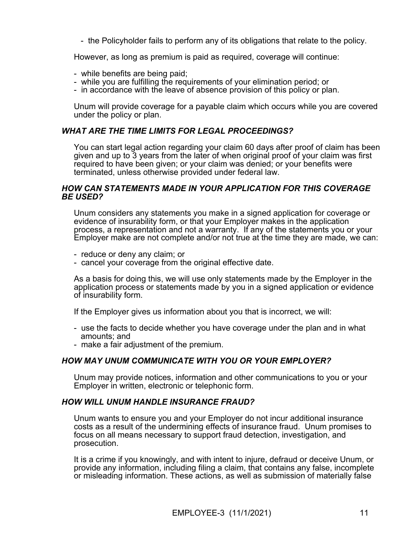- the Policyholder fails to perform any of its obligations that relate to the policy.

However, as long as premium is paid as required, coverage will continue:

- while benefits are being paid;
- while you are fulfilling the requirements of your elimination period; or
- in accordance with the leave of absence provision of this policy or plan.

Unum will provide coverage for a payable claim which occurs while you are covered under the policy or plan.

## *WHAT ARE THE TIME LIMITS FOR LEGAL PROCEEDINGS?*

You can start legal action regarding your claim 60 days after proof of claim has been given and up to 3 years from the later of when original proof of your claim was first required to have been given; or your claim was denied; or your benefits were terminated, unless otherwise provided under federal law.

### *HOW CAN STATEMENTS MADE IN YOUR APPLICATION FOR THIS COVERAGE BE USED?*

Unum considers any statements you make in a signed application for coverage or evidence of insurability form, or that your Employer makes in the application process, a representation and not a warranty. If any of the statements you or your Employer make are not complete and/or not true at the time they are made, we can:

- reduce or deny any claim; or
- cancel your coverage from the original effective date.

As a basis for doing this, we will use only statements made by the Employer in the application process or statements made by you in a signed application or evidence of insurability form.

If the Employer gives us information about you that is incorrect, we will:

- use the facts to decide whether you have coverage under the plan and in what amounts; and
- make a fair adjustment of the premium.

### *HOW MAY UNUM COMMUNICATE WITH YOU OR YOUR EMPLOYER?*

Unum may provide notices, information and other communications to you or your Employer in written, electronic or telephonic form.

### *HOW WILL UNUM HANDLE INSURANCE FRAUD?*

Unum wants to ensure you and your Employer do not incur additional insurance costs as a result of the undermining effects of insurance fraud. Unum promises to focus on all means necessary to support fraud detection, investigation, and prosecution.

It is a crime if you knowingly, and with intent to injure, defraud or deceive Unum, or provide any information, including filing a claim, that contains any false, incomplete or misleading information. These actions, as well as submission of materially false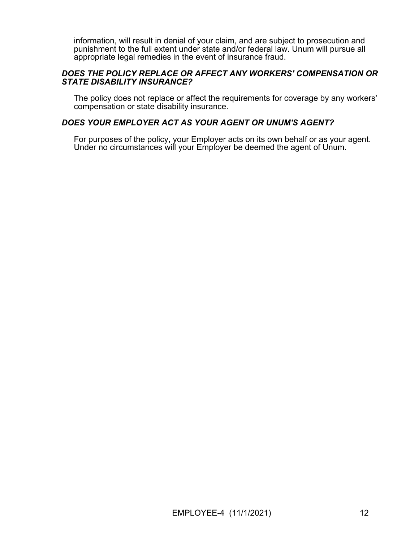information, will result in denial of your claim, and are subject to prosecution and punishment to the full extent under state and/or federal law. Unum will pursue all appropriate legal remedies in the event of insurance fraud.

### *DOES THE POLICY REPLACE OR AFFECT ANY WORKERS' COMPENSATION OR STATE DISABILITY INSURANCE?*

The policy does not replace or affect the requirements for coverage by any workers' compensation or state disability insurance.

## *DOES YOUR EMPLOYER ACT AS YOUR AGENT OR UNUM'S AGENT?*

For purposes of the policy, your Employer acts on its own behalf or as your agent. Under no circumstances will your Employer be deemed the agent of Unum.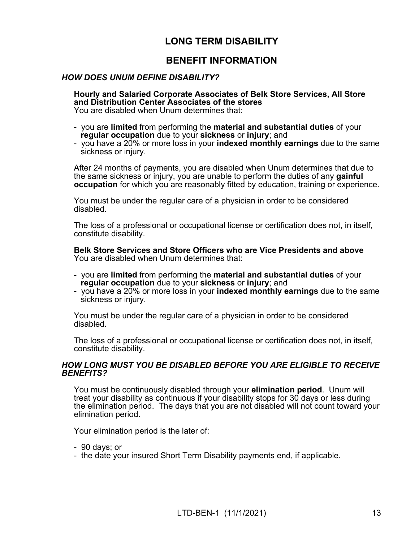# **LONG TERM DISABILITY**

# **BENEFIT INFORMATION**

### *HOW DOES UNUM DEFINE DISABILITY?*

**Hourly and Salaried Corporate Associates of Belk Store Services, All Store and Distribution Center Associates of the stores** You are disabled when Unum determines that:

- you are **limited** from performing the **material and substantial duties** of your **regular occupation** due to your **sickness** or **injury**; and
- you have a 20% or more loss in your **indexed monthly earnings** due to the same sickness or injury.

After 24 months of payments, you are disabled when Unum determines that due to the same sickness or injury, you are unable to perform the duties of any **gainful occupation** for which you are reasonably fitted by education, training or experience.

You must be under the regular care of a physician in order to be considered disabled.

The loss of a professional or occupational license or certification does not, in itself, constitute disability.

**Belk Store Services and Store Officers who are Vice Presidents and above** You are disabled when Unum determines that:

- you are **limited** from performing the **material and substantial duties** of your **regular occupation** due to your **sickness** or **injury**; and
- you have a 20% or more loss in your **indexed monthly earnings** due to the same sickness or injury.

You must be under the regular care of a physician in order to be considered disabled.

The loss of a professional or occupational license or certification does not, in itself, constitute disability.

### *HOW LONG MUST YOU BE DISABLED BEFORE YOU ARE ELIGIBLE TO RECEIVE BENEFITS?*

You must be continuously disabled through your **elimination period**. Unum will treat your disability as continuous if your disability stops for 30 days or less during the elimination period. The days that you are not disabled will not count toward your elimination period.

Your elimination period is the later of:

- 90 days; or
- the date your insured Short Term Disability payments end, if applicable.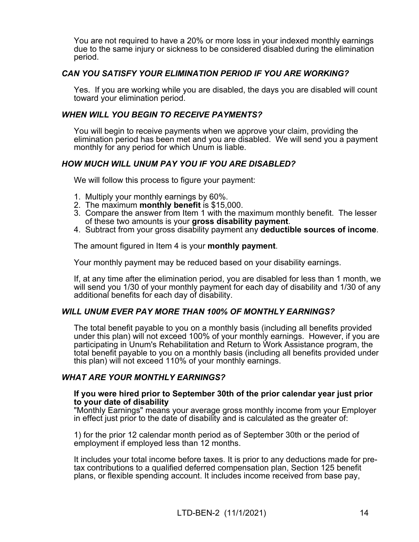You are not required to have a 20% or more loss in your indexed monthly earnings due to the same injury or sickness to be considered disabled during the elimination period.

## *CAN YOU SATISFY YOUR ELIMINATION PERIOD IF YOU ARE WORKING?*

Yes. If you are working while you are disabled, the days you are disabled will count toward your elimination period.

## *WHEN WILL YOU BEGIN TO RECEIVE PAYMENTS?*

You will begin to receive payments when we approve your claim, providing the elimination period has been met and you are disabled. We will send you a payment monthly for any period for which Unum is liable.

## *HOW MUCH WILL UNUM PAY YOU IF YOU ARE DISABLED?*

We will follow this process to figure your payment:

- 1. Multiply your monthly earnings by 60%.
- 2. The maximum **monthly benefit** is \$15,000.
- 3. Compare the answer from Item 1 with the maximum monthly benefit. The lesser of these two amounts is your **gross disability payment**.
- 4. Subtract from your gross disability payment any **deductible sources of income**.

The amount figured in Item 4 is your **monthly payment**.

Your monthly payment may be reduced based on your disability earnings.

If, at any time after the elimination period, you are disabled for less than 1 month, we will send you 1/30 of your monthly payment for each day of disability and 1/30 of any additional benefits for each day of disability.

## *WILL UNUM EVER PAY MORE THAN 100% OF MONTHLY EARNINGS?*

The total benefit payable to you on a monthly basis (including all benefits provided under this plan) will not exceed 100% of your monthly earnings. However, if you are participating in Unum's Rehabilitation and Return to Work Assistance program, the total benefit payable to you on a monthly basis (including all benefits provided under this plan) will not exceed 110% of your monthly earnings.

### *WHAT ARE YOUR MONTHLY EARNINGS?*

### **If you were hired prior to September 30th of the prior calendar year just prior to your date of disability**

"Monthly Earnings" means your average gross monthly income from your Employer in effect just prior to the date of disability and is calculated as the greater of:

1) for the prior 12 calendar month period as of September 30th or the period of employment if employed less than 12 months.

It includes your total income before taxes. It is prior to any deductions made for pretax contributions to a qualified deferred compensation plan, Section 125 benefit plans, or flexible spending account. It includes income received from base pay,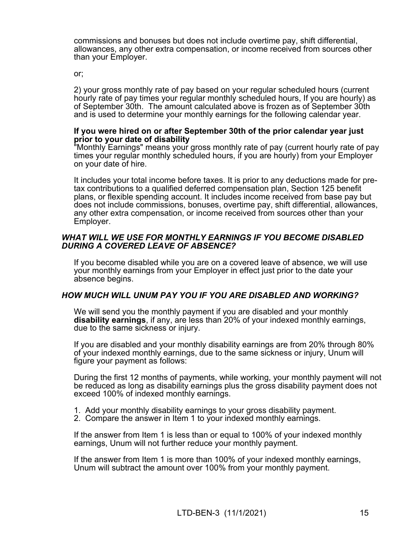commissions and bonuses but does not include overtime pay, shift differential, allowances, any other extra compensation, or income received from sources other than your Employer.

or;

2) your gross monthly rate of pay based on your regular scheduled hours (current hourly rate of pay times your regular monthly scheduled hours, If you are hourly) as of September 30th. The amount calculated above is frozen as of September 30th and is used to determine your monthly earnings for the following calendar year.

### **If you were hired on or after September 30th of the prior calendar year just prior to your date of disability**

"Monthly Earnings" means your gross monthly rate of pay (current hourly rate of pay times your regular monthly scheduled hours, if you are hourly) from your Employer on your date of hire.

It includes your total income before taxes. It is prior to any deductions made for pretax contributions to a qualified deferred compensation plan, Section 125 benefit plans, or flexible spending account. It includes income received from base pay but does not include commissions, bonuses, overtime pay, shift differential, allowances, any other extra compensation, or income received from sources other than your Employer.

### *WHAT WILL WE USE FOR MONTHLY EARNINGS IF YOU BECOME DISABLED DURING A COVERED LEAVE OF ABSENCE?*

If you become disabled while you are on a covered leave of absence, we will use your monthly earnings from your Employer in effect just prior to the date your absence begins.

### *HOW MUCH WILL UNUM PAY YOU IF YOU ARE DISABLED AND WORKING?*

We will send you the monthly payment if you are disabled and your monthly **disability earnings**, if any, are less than 20% of your indexed monthly earnings, due to the same sickness or injury.

If you are disabled and your monthly disability earnings are from 20% through 80% of your indexed monthly earnings, due to the same sickness or injury, Unum will figure your payment as follows:

During the first 12 months of payments, while working, your monthly payment will not be reduced as long as disability earnings plus the gross disability payment does not exceed 100% of indexed monthly earnings.

- 1. Add your monthly disability earnings to your gross disability payment.
- 2. Compare the answer in Item 1 to your indexed monthly earnings.

If the answer from Item 1 is less than or equal to 100% of your indexed monthly earnings, Unum will not further reduce your monthly payment.

If the answer from Item 1 is more than 100% of your indexed monthly earnings, Unum will subtract the amount over 100% from your monthly payment.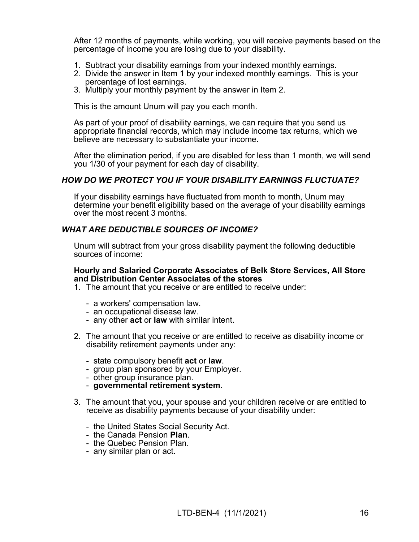After 12 months of payments, while working, you will receive payments based on the percentage of income you are losing due to your disability.

- 1. Subtract your disability earnings from your indexed monthly earnings.
- 2. Divide the answer in Item 1 by your indexed monthly earnings. This is your percentage of lost earnings.
- 3. Multiply your monthly payment by the answer in Item 2.

This is the amount Unum will pay you each month.

As part of your proof of disability earnings, we can require that you send us appropriate financial records, which may include income tax returns, which we believe are necessary to substantiate your income.

After the elimination period, if you are disabled for less than 1 month, we will send you 1/30 of your payment for each day of disability.

### *HOW DO WE PROTECT YOU IF YOUR DISABILITY EARNINGS FLUCTUATE?*

If your disability earnings have fluctuated from month to month, Unum may determine your benefit eligibility based on the average of your disability earnings over the most recent 3 months.

### *WHAT ARE DEDUCTIBLE SOURCES OF INCOME?*

Unum will subtract from your gross disability payment the following deductible sources of income:

### **Hourly and Salaried Corporate Associates of Belk Store Services, All Store and Distribution Center Associates of the stores**

- <span id="page-17-0"></span>1. The amount that you receive or are entitled to receive under:
	- a workers' compensation law.
	- an occupational disease law.
	- any other **act** or **law** with similar intent.
- <span id="page-17-1"></span>2. The amount that you receive or are entitled to receive as disability income or disability retirement payments under any:
	- state compulsory benefit **act** or **law**.
	- group plan sponsored by your Employer.
	- other group insurance plan.
	- **governmental retirement system**.
- <span id="page-17-2"></span>3. The amount that you, your spouse and your children receive or are entitled to receive as disability payments because of your disability under:
	- the United States Social Security Act.
	- the Canada Pension **Plan**.
	- the Quebec Pension Plan.
	- any similar plan or act.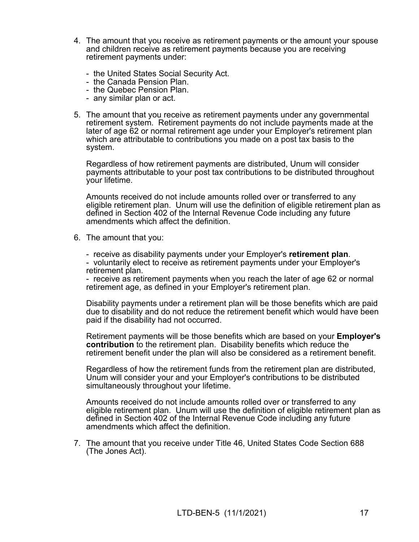- 4. The amount that you receive as retirement payments or the amount your spouse and children receive as retirement payments because you are receiving retirement payments under:
	- the United States Social Security Act.
	- the Canada Pension Plan.
	- the Quebec Pension Plan.
	- any similar plan or act.
- 5. The amount that you receive as retirement payments under any governmental retirement system. Retirement payments do not include payments made at the later of age 62 or normal retirement age under your Employer's retirement plan which are attributable to contributions you made on a post tax basis to the system.

Regardless of how retirement payments are distributed, Unum will consider payments attributable to your post tax contributions to be distributed throughout your lifetime.

Amounts received do not include amounts rolled over or transferred to any eligible retirement plan. Unum will use the definition of eligible retirement plan as defined in Section 402 of the Internal Revenue Code including any future amendments which affect the definition.

6. The amount that you:

- receive as disability payments under your Employer's **retirement plan**. - voluntarily elect to receive as retirement payments under your Employer's retirement plan.

- receive as retirement payments when you reach the later of age 62 or normal retirement age, as defined in your Employer's retirement plan.

Disability payments under a retirement plan will be those benefits which are paid due to disability and do not reduce the retirement benefit which would have been paid if the disability had not occurred.

Retirement payments will be those benefits which are based on your **Employer's contribution** to the retirement plan. Disability benefits which reduce the retirement benefit under the plan will also be considered as a retirement benefit.

Regardless of how the retirement funds from the retirement plan are distributed, Unum will consider your and your Employer's contributions to be distributed simultaneously throughout your lifetime.

Amounts received do not include amounts rolled over or transferred to any eligible retirement plan. Unum will use the definition of eligible retirement plan as defined in Section 402 of the Internal Revenue Code including any future amendments which affect the definition.

7. The amount that you receive under Title 46, United States Code Section 688 (The Jones Act).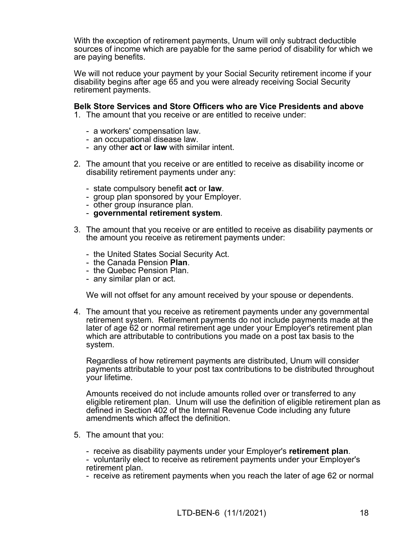With the exception of retirement payments, Unum will only subtract deductible sources of income which are payable for the same period of disability for which we are paying benefits.

We will not reduce your payment by your Social Security retirement income if your disability begins after age 65 and you were already receiving Social Security retirement payments.

## **Belk Store Services and Store Officers who are Vice Presidents and above**

<span id="page-19-0"></span>1. The amount that you receive or are entitled to receive under:

- a workers' compensation law.
- an occupational disease law.
- any other **act** or **law** with similar intent.
- <span id="page-19-1"></span>2. The amount that you receive or are entitled to receive as disability income or disability retirement payments under any:
	- state compulsory benefit **act** or **law**.
	- group plan sponsored by your Employer.
	- other group insurance plan.
	- **governmental retirement system**.
- <span id="page-19-2"></span>3. The amount that you receive or are entitled to receive as disability payments or the amount you receive as retirement payments under:
	- the United States Social Security Act.
	- the Canada Pension **Plan**.
	- the Quebec Pension Plan.
	- any similar plan or act.

We will not offset for any amount received by your spouse or dependents.

4. The amount that you receive as retirement payments under any governmental retirement system. Retirement payments do not include payments made at the later of age 62 or normal retirement age under your Employer's retirement plan which are attributable to contributions you made on a post tax basis to the system.

Regardless of how retirement payments are distributed, Unum will consider payments attributable to your post tax contributions to be distributed throughout your lifetime.

Amounts received do not include amounts rolled over or transferred to any eligible retirement plan. Unum will use the definition of eligible retirement plan as defined in Section 402 of the Internal Revenue Code including any future amendments which affect the definition.

- 5. The amount that you:
	- receive as disability payments under your Employer's **retirement plan**.
	- voluntarily elect to receive as retirement payments under your Employer's retirement plan.
	- receive as retirement payments when you reach the later of age 62 or normal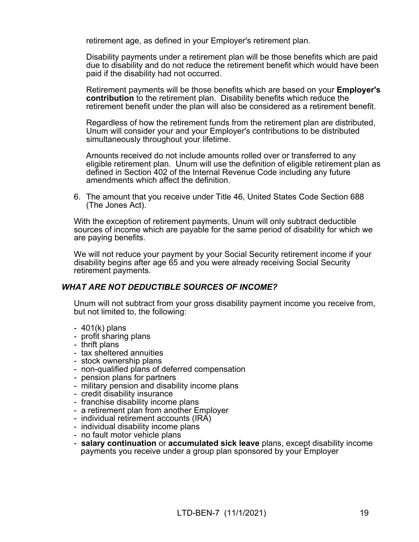retirement age, as defined in your Employer's retirement plan.

Disability payments under a retirement plan will be those benefits which are paid due to disability and do not reduce the retirement benefit which would have been paid if the disability had not occurred.

Retirement payments will be those benefits which are based on your **Employer's contribution** to the retirement plan. Disability benefits which reduce the retirement benefit under the plan will also be considered as a retirement benefit.

Regardless of how the retirement funds from the retirement plan are distributed, Unum will consider your and your Employer's contributions to be distributed simultaneously throughout your lifetime.

Amounts received do not include amounts rolled over or transferred to any eligible retirement plan. Unum will use the definition of eligible retirement plan as defined in Section 402 of the Internal Revenue Code including any future amendments which affect the definition.

6. The amount that you receive under Title 46, United States Code Section 688 (The Jones Act).

With the exception of retirement payments, Unum will only subtract deductible sources of income which are payable for the same period of disability for which we are paying benefits.

We will not reduce your payment by your Social Security retirement income if your disability begins after age 65 and you were already receiving Social Security retirement payments.

## *WHAT ARE NOT DEDUCTIBLE SOURCES OF INCOME?*

Unum will not subtract from your gross disability payment income you receive from, but not limited to, the following:

- 401(k) plans
- profit sharing plans
- thrift plans
- tax sheltered annuities
- stock ownership plans
- non-qualified plans of deferred compensation
- pension plans for partners
- military pension and disability income plans
- credit disability insurance
- franchise disability income plans
- a retirement plan from another Employer
- individual retirement accounts (IRA)
- individual disability income plans
- no fault motor vehicle plans
- **salary continuation** or **accumulated sick leave** plans, except disability income payments you receive under a group plan sponsored by your Employer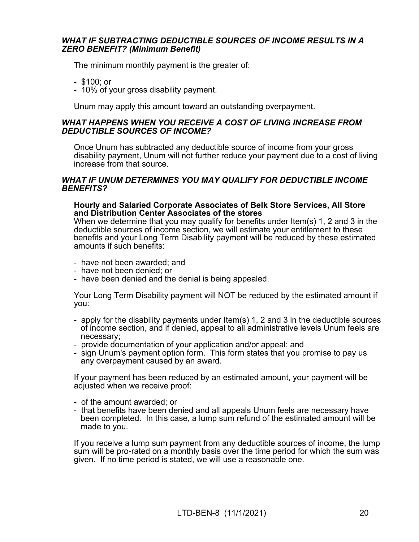## *WHAT IF SUBTRACTING DEDUCTIBLE SOURCES OF INCOME RESULTS IN A ZERO BENEFIT? (Minimum Benefit)*

The minimum monthly payment is the greater of:

- \$100; or
- 10% of your gross disability payment.

Unum may apply this amount toward an outstanding overpayment.

### *WHAT HAPPENS WHEN YOU RECEIVE A COST OF LIVING INCREASE FROM DEDUCTIBLE SOURCES OF INCOME?*

Once Unum has subtracted any deductible source of income from your gross disability payment, Unum will not further reduce your payment due to a cost of living increase from that source.

### *WHAT IF UNUM DETERMINES YOU MAY QUALIFY FOR DEDUCTIBLE INCOME BENEFITS?*

### **Hourly and Salaried Corporate Associates of Belk Store Services, All Store and Distribution Center Associates of the stores**

When we determine that you may qualify for benefits under Item(s) [1](#page-17-0), [2](#page-17-1) and [3](#page-17-2) in the deductible sources of income section, we will estimate your entitlement to these benefits and your Long Term Disability payment will be reduced by these estimated amounts if such benefits:

- have not been awarded; and
- have not been denied; or
- have been denied and the denial is being appealed.

Your Long Term Disability payment will NOT be reduced by the estimated amount if you:

- apply for the disability payments under Item(s) [1](#page-17-0), [2](#page-17-1) and [3](#page-17-2) in the deductible sources of income section, and if denied, appeal to all administrative levels Unum feels are necessary;
- provide documentation of your application and/or appeal; and
- sign Unum's payment option form. This form states that you promise to pay us any overpayment caused by an award.

If your payment has been reduced by an estimated amount, your payment will be adjusted when we receive proof:

- of the amount awarded; or
- that benefits have been denied and all appeals Unum feels are necessary have been completed. In this case, a lump sum refund of the estimated amount will be made to you.

If you receive a lump sum payment from any deductible sources of income, the lump sum will be pro-rated on a monthly basis over the time period for which the sum was given. If no time period is stated, we will use a reasonable one.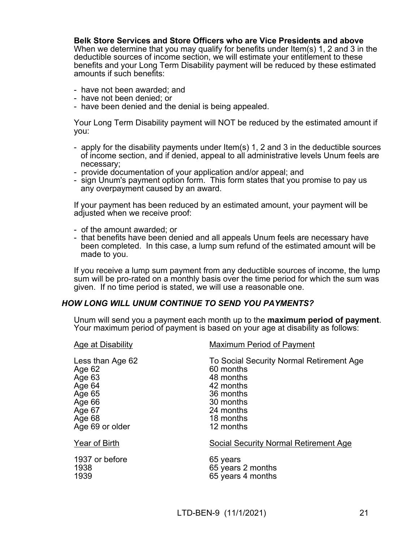### **Belk Store Services and Store Officers who are Vice Presidents and above**

When we determine that you may qualify for benefits under Item(s) [1](#page-19-0), [2](#page-19-1) and [3](#page-19-2) in the deductible sources of income section, we will estimate your entitlement to these benefits and your Long Term Disability payment will be reduced by these estimated amounts if such benefits:

- have not been awarded; and
- have not been denied; or
- have been denied and the denial is being appealed.

Your Long Term Disability payment will NOT be reduced by the estimated amount if you:

- apply for the disability payments under Item(s) [1](#page-19-0), [2](#page-19-1) and [3](#page-19-2) in the deductible sources of income section, and if denied, appeal to all administrative levels Unum feels are necessary;
- provide documentation of your application and/or appeal; and
- sign Unum's payment option form. This form states that you promise to pay us any overpayment caused by an award.

If your payment has been reduced by an estimated amount, your payment will be adjusted when we receive proof:

- of the amount awarded; or
- that benefits have been denied and all appeals Unum feels are necessary have been completed. In this case, a lump sum refund of the estimated amount will be made to you.

If you receive a lump sum payment from any deductible sources of income, the lump sum will be pro-rated on a monthly basis over the time period for which the sum was given. If no time period is stated, we will use a reasonable one.

### *HOW LONG WILL UNUM CONTINUE TO SEND YOU PAYMENTS?*

Unum will send you a payment each month up to the **maximum period of payment**. Your maximum period of payment is based on your age at disability as follows:

| Age at Disability | <b>Maximum Period of Payment</b>         |
|-------------------|------------------------------------------|
| Less than Age 62  | To Social Security Normal Retirement Age |
| Age 62            | 60 months                                |
| Age 63            | 48 months                                |
| Age 64            | 42 months                                |
| Age 65            | 36 months                                |
| Age 66            | 30 months                                |
| Age 67            | 24 months                                |
| Age 68            | 18 months                                |
| Age 69 or older   | 12 months                                |
| Year of Birth     | Social Security Normal Retirement Age    |
| 1937 or before    | 65 years                                 |
| 1938              | 65 years 2 months                        |
| 1939              | 65 years 4 months                        |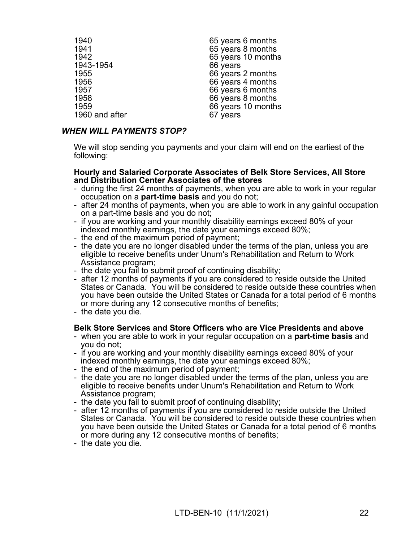| 1940           | 65 years 6 months  |
|----------------|--------------------|
| 1941           | 65 years 8 months  |
| 1942           | 65 years 10 months |
| 1943-1954      | 66 years           |
| 1955           | 66 years 2 months  |
| 1956           | 66 years 4 months  |
| 1957           | 66 years 6 months  |
| 1958           | 66 years 8 months  |
| 1959           | 66 years 10 months |
| 1960 and after | 67 years           |

## *WHEN WILL PAYMENTS STOP?*

We will stop sending you payments and your claim will end on the earliest of the following:

### **Hourly and Salaried Corporate Associates of Belk Store Services, All Store and Distribution Center Associates of the stores**

- during the first 24 months of payments, when you are able to work in your regular occupation on a **part-time basis** and you do not;
- after 24 months of payments, when you are able to work in any gainful occupation on a part-time basis and you do not;
- if you are working and your monthly disability earnings exceed 80% of your indexed monthly earnings, the date your earnings exceed 80%;
- the end of the maximum period of payment;
- the date you are no longer disabled under the terms of the plan, unless you are eligible to receive benefits under Unum's Rehabilitation and Return to Work Assistance program;
- the date you fail to submit proof of continuing disability;
- after 12 months of payments if you are considered to reside outside the United States or Canada. You will be considered to reside outside these countries when you have been outside the United States or Canada for a total period of 6 months or more during any 12 consecutive months of benefits;
- the date you die.

## **Belk Store Services and Store Officers who are Vice Presidents and above**

- when you are able to work in your regular occupation on a **part-time basis** and you do not;
- if you are working and your monthly disability earnings exceed 80% of your indexed monthly earnings, the date your earnings exceed 80%;
- the end of the maximum period of payment;
- the date you are no longer disabled under the terms of the plan, unless you are eligible to receive benefits under Unum's Rehabilitation and Return to Work Assistance program;
- the date you fail to submit proof of continuing disability;
- after 12 months of payments if you are considered to reside outside the United States or Canada. You will be considered to reside outside these countries when you have been outside the United States or Canada for a total period of 6 months or more during any 12 consecutive months of benefits;
- the date you die.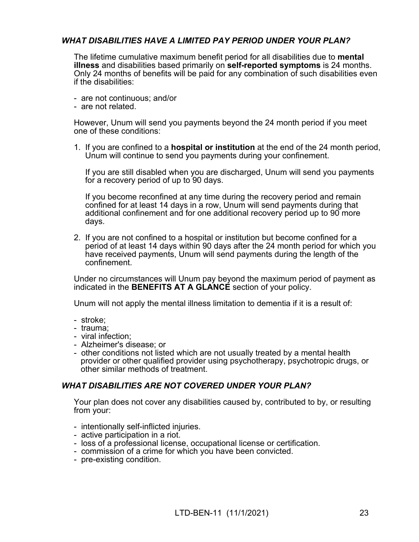## *WHAT DISABILITIES HAVE A LIMITED PAY PERIOD UNDER YOUR PLAN?*

The lifetime cumulative maximum benefit period for all disabilities due to **mental illness** and disabilities based primarily on **self-reported symptoms** is 24 months. Only 24 months of benefits will be paid for any combination of such disabilities even if the disabilities:

- are not continuous; and/or
- are not related.

However, Unum will send you payments beyond the 24 month period if you meet one of these conditions:

1. If you are confined to a **hospital or institution** at the end of the 24 month period, Unum will continue to send you payments during your confinement.

 If you are still disabled when you are discharged, Unum will send you payments for a recovery period of up to 90 days.

 If you become reconfined at any time during the recovery period and remain confined for at least 14 days in a row, Unum will send payments during that additional confinement and for one additional recovery period up to 90 more days.

2. If you are not confined to a hospital or institution but become confined for a period of at least 14 days within 90 days after the 24 month period for which you have received payments, Unum will send payments during the length of the confinement.

Under no circumstances will Unum pay beyond the maximum period of payment as indicated in the **BENEFITS AT A GLANCE** section of your policy.

Unum will not apply the mental illness limitation to dementia if it is a result of:

- stroke;
- trauma;
- viral infection;
- Alzheimer's disease; or
- other conditions not listed which are not usually treated by a mental health provider or other qualified provider using psychotherapy, psychotropic drugs, or other similar methods of treatment.

### *WHAT DISABILITIES ARE NOT COVERED UNDER YOUR PLAN?*

Your plan does not cover any disabilities caused by, contributed to by, or resulting from your:

- intentionally self-inflicted injuries.
- active participation in a riot.
- loss of a professional license, occupational license or certification.
- commission of a crime for which you have been convicted.
- pre-existing condition.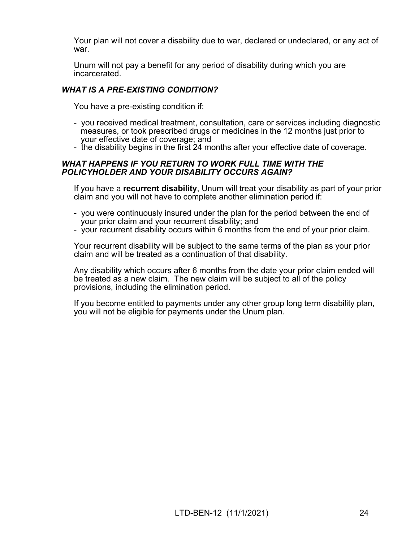Your plan will not cover a disability due to war, declared or undeclared, or any act of war.

Unum will not pay a benefit for any period of disability during which you are incarcerated.

## *WHAT IS A PRE-EXISTING CONDITION?*

You have a pre-existing condition if:

- you received medical treatment, consultation, care or services including diagnostic measures, or took prescribed drugs or medicines in the 12 months just prior to your effective date of coverage; and
- the disability begins in the first 24 months after your effective date of coverage.

## *WHAT HAPPENS IF YOU RETURN TO WORK FULL TIME WITH THE POLICYHOLDER AND YOUR DISABILITY OCCURS AGAIN?*

If you have a **recurrent disability**, Unum will treat your disability as part of your prior claim and you will not have to complete another elimination period if:

- you were continuously insured under the plan for the period between the end of your prior claim and your recurrent disability; and
- your recurrent disability occurs within 6 months from the end of your prior claim.

Your recurrent disability will be subject to the same terms of the plan as your prior claim and will be treated as a continuation of that disability.

Any disability which occurs after 6 months from the date your prior claim ended will be treated as a new claim. The new claim will be subject to all of the policy provisions, including the elimination period.

If you become entitled to payments under any other group long term disability plan, you will not be eligible for payments under the Unum plan.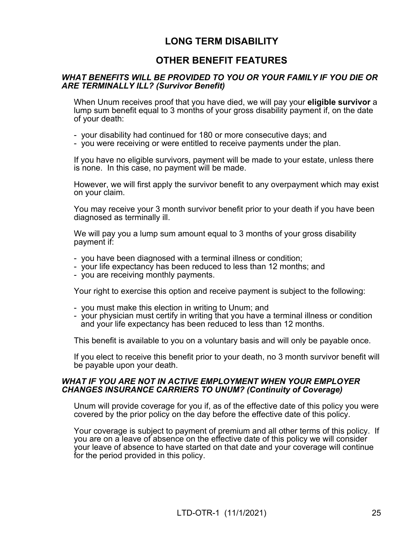# **LONG TERM DISABILITY**

# **OTHER BENEFIT FEATURES**

## *WHAT BENEFITS WILL BE PROVIDED TO YOU OR YOUR FAMILY IF YOU DIE OR ARE TERMINALLY ILL? (Survivor Benefit)*

When Unum receives proof that you have died, we will pay your **eligible survivor** a lump sum benefit equal to 3 months of your gross disability payment if, on the date of your death:

- your disability had continued for 180 or more consecutive days; and
- you were receiving or were entitled to receive payments under the plan.

If you have no eligible survivors, payment will be made to your estate, unless there is none. In this case, no payment will be made.

However, we will first apply the survivor benefit to any overpayment which may exist on your claim.

You may receive your 3 month survivor benefit prior to your death if you have been diagnosed as terminally ill.

We will pay you a lump sum amount equal to 3 months of your gross disability payment if:

- you have been diagnosed with a terminal illness or condition;
- your life expectancy has been reduced to less than 12 months; and
- you are receiving monthly payments.

Your right to exercise this option and receive payment is subject to the following:

- you must make this election in writing to Unum; and
- your physician must certify in writing that you have a terminal illness or condition and your life expectancy has been reduced to less than 12 months.

This benefit is available to you on a voluntary basis and will only be payable once.

If you elect to receive this benefit prior to your death, no 3 month survivor benefit will be payable upon your death.

### *WHAT IF YOU ARE NOT IN ACTIVE EMPLOYMENT WHEN YOUR EMPLOYER CHANGES INSURANCE CARRIERS TO UNUM? (Continuity of Coverage)*

Unum will provide coverage for you if, as of the effective date of this policy you were covered by the prior policy on the day before the effective date of this policy.

Your coverage is subject to payment of premium and all other terms of this policy. If you are on a leave of absence on the effective date of this policy we will consider your leave of absence to have started on that date and your coverage will continue for the period provided in this policy.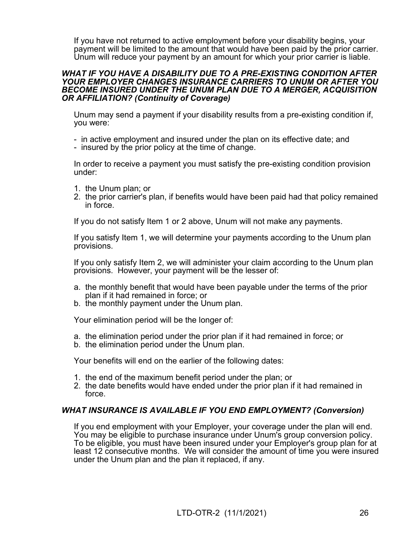If you have not returned to active employment before your disability begins, your payment will be limited to the amount that would have been paid by the prior carrier. Unum will reduce your payment by an amount for which your prior carrier is liable.

### *WHAT IF YOU HAVE A DISABILITY DUE TO A PRE-EXISTING CONDITION AFTER YOUR EMPLOYER CHANGES INSURANCE CARRIERS TO UNUM OR AFTER YOU BECOME INSURED UNDER THE UNUM PLAN DUE TO A MERGER, ACQUISITION OR AFFILIATION? (Continuity of Coverage)*

Unum may send a payment if your disability results from a pre-existing condition if, you were:

- in active employment and insured under the plan on its effective date; and
- insured by the prior policy at the time of change.

In order to receive a payment you must satisfy the pre-existing condition provision under:

- 1. the Unum plan; or
- 2. the prior carrier's plan, if benefits would have been paid had that policy remained in force.

If you do not satisfy Item 1 or 2 above, Unum will not make any payments.

If you satisfy Item 1, we will determine your payments according to the Unum plan provisions.

If you only satisfy Item 2, we will administer your claim according to the Unum plan provisions. However, your payment will be the lesser of:

- a. the monthly benefit that would have been payable under the terms of the prior plan if it had remained in force; or
- b. the monthly payment under the Unum plan.

Your elimination period will be the longer of:

- a. the elimination period under the prior plan if it had remained in force; or
- b. the elimination period under the Unum plan.

Your benefits will end on the earlier of the following dates:

- 1. the end of the maximum benefit period under the plan; or
- 2. the date benefits would have ended under the prior plan if it had remained in force.

### *WHAT INSURANCE IS AVAILABLE IF YOU END EMPLOYMENT? (Conversion)*

If you end employment with your Employer, your coverage under the plan will end. You may be eligible to purchase insurance under Unum's group conversion policy. To be eligible, you must have been insured under your Employer's group plan for at least 12 consecutive months. We will consider the amount of time you were insured under the Unum plan and the plan it replaced, if any.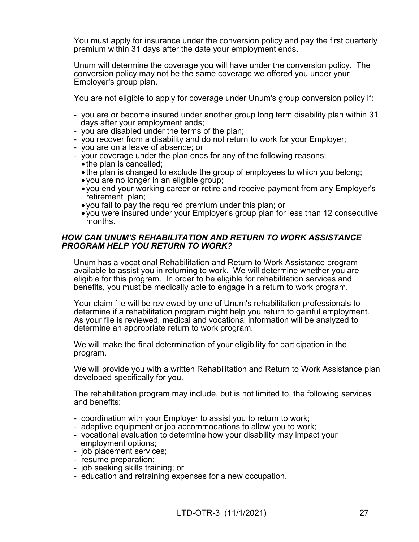You must apply for insurance under the conversion policy and pay the first quarterly premium within 31 days after the date your employment ends.

Unum will determine the coverage you will have under the conversion policy. The conversion policy may not be the same coverage we offered you under your Employer's group plan.

You are not eligible to apply for coverage under Unum's group conversion policy if:

- you are or become insured under another group long term disability plan within 31 days after your employment ends;
- you are disabled under the terms of the plan;
- you recover from a disability and do not return to work for your Employer;
- you are on a leave of absence; or
- your coverage under the plan ends for any of the following reasons:
	- the plan is cancelled;
	- the plan is changed to exclude the group of employees to which you belong;
	- you are no longer in an eligible group;
	- you end your working career or retire and receive payment from any Employer's retirement plan;
	- you fail to pay the required premium under this plan; or
	- you were insured under your Employer's group plan for less than 12 consecutive months.

### *HOW CAN UNUM'S REHABILITATION AND RETURN TO WORK ASSISTANCE PROGRAM HELP YOU RETURN TO WORK?*

Unum has a vocational Rehabilitation and Return to Work Assistance program available to assist you in returning to work. We will determine whether you are eligible for this program. In order to be eligible for rehabilitation services and benefits, you must be medically able to engage in a return to work program.

Your claim file will be reviewed by one of Unum's rehabilitation professionals to determine if a rehabilitation program might help you return to gainful employment. As your file is reviewed, medical and vocational information will be analyzed to determine an appropriate return to work program.

We will make the final determination of your eligibility for participation in the program.

We will provide you with a written Rehabilitation and Return to Work Assistance plan developed specifically for you.

The rehabilitation program may include, but is not limited to, the following services and benefits:

- coordination with your Employer to assist you to return to work;
- adaptive equipment or job accommodations to allow you to work;
- vocational evaluation to determine how your disability may impact your employment options;
- job placement services;
- resume preparation;
- job seeking skills training; or
- education and retraining expenses for a new occupation.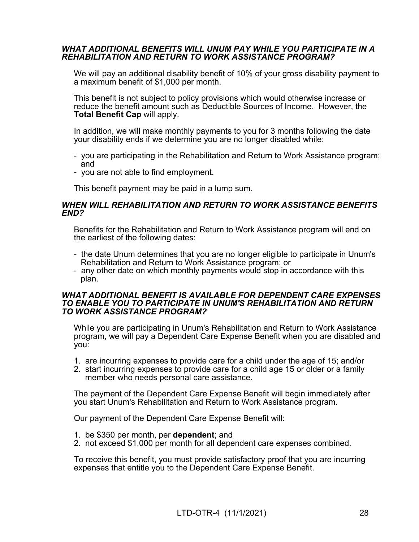## *WHAT ADDITIONAL BENEFITS WILL UNUM PAY WHILE YOU PARTICIPATE IN A REHABILITATION AND RETURN TO WORK ASSISTANCE PROGRAM?*

We will pay an additional disability benefit of 10% of your gross disability payment to a maximum benefit of \$1,000 per month.

This benefit is not subject to policy provisions which would otherwise increase or reduce the benefit amount such as Deductible Sources of Income. However, the **Total Benefit Cap** will apply.

In addition, we will make monthly payments to you for 3 months following the date your disability ends if we determine you are no longer disabled while:

- you are participating in the Rehabilitation and Return to Work Assistance program; and
- you are not able to find employment.

This benefit payment may be paid in a lump sum.

### *WHEN WILL REHABILITATION AND RETURN TO WORK ASSISTANCE BENEFITS END?*

Benefits for the Rehabilitation and Return to Work Assistance program will end on the earliest of the following dates:

- the date Unum determines that you are no longer eligible to participate in Unum's Rehabilitation and Return to Work Assistance program; or
- any other date on which monthly payments would stop in accordance with this plan.

### *WHAT ADDITIONAL BENEFIT IS AVAILABLE FOR DEPENDENT CARE EXPENSES TO ENABLE YOU TO PARTICIPATE IN UNUM'S REHABILITATION AND RETURN TO WORK ASSISTANCE PROGRAM?*

While you are participating in Unum's Rehabilitation and Return to Work Assistance program, we will pay a Dependent Care Expense Benefit when you are disabled and you:

- 1. are incurring expenses to provide care for a child under the age of 15; and/or
- 2. start incurring expenses to provide care for a child age 15 or older or a family member who needs personal care assistance.

The payment of the Dependent Care Expense Benefit will begin immediately after you start Unum's Rehabilitation and Return to Work Assistance program.

Our payment of the Dependent Care Expense Benefit will:

- 1. be \$350 per month, per **dependent**; and
- 2. not exceed \$1,000 per month for all dependent care expenses combined.

To receive this benefit, you must provide satisfactory proof that you are incurring expenses that entitle you to the Dependent Care Expense Benefit.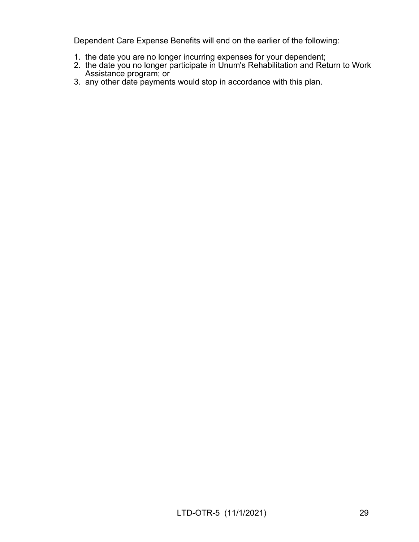Dependent Care Expense Benefits will end on the earlier of the following:

- 1. the date you are no longer incurring expenses for your dependent;
- 2. the date you no longer participate in Unum's Rehabilitation and Return to Work Assistance program; or
- 3. any other date payments would stop in accordance with this plan.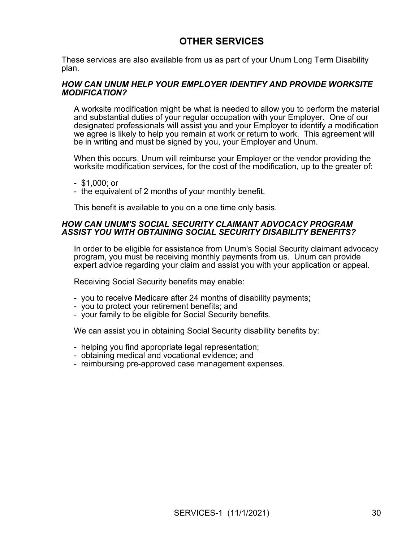# **OTHER SERVICES**

These services are also available from us as part of your Unum Long Term Disability plan.

### *HOW CAN UNUM HELP YOUR EMPLOYER IDENTIFY AND PROVIDE WORKSITE MODIFICATION?*

A worksite modification might be what is needed to allow you to perform the material and substantial duties of your regular occupation with your Employer. One of our designated professionals will assist you and your Employer to identify a modification we agree is likely to help you remain at work or return to work. This agreement will be in writing and must be signed by you, your Employer and Unum.

When this occurs, Unum will reimburse your Employer or the vendor providing the worksite modification services, for the cost of the modification, up to the greater of:

- \$1,000; or
- the equivalent of 2 months of your monthly benefit.

This benefit is available to you on a one time only basis.

### *HOW CAN UNUM'S SOCIAL SECURITY CLAIMANT ADVOCACY PROGRAM ASSIST YOU WITH OBTAINING SOCIAL SECURITY DISABILITY BENEFITS?*

In order to be eligible for assistance from Unum's Social Security claimant advocacy program, you must be receiving monthly payments from us. Unum can provide expert advice regarding your claim and assist you with your application or appeal.

Receiving Social Security benefits may enable:

- you to receive Medicare after 24 months of disability payments;
- you to protect your retirement benefits; and
- your family to be eligible for Social Security benefits.

We can assist you in obtaining Social Security disability benefits by:

- helping you find appropriate legal representation;
- obtaining medical and vocational evidence; and
- reimbursing pre-approved case management expenses.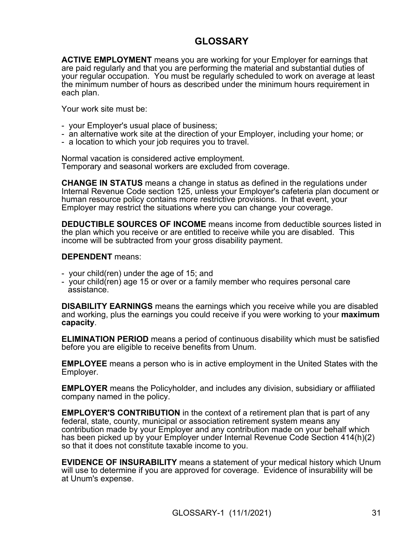# **GLOSSARY**

**ACTIVE EMPLOYMENT** means you are working for your Employer for earnings that are paid regularly and that you are performing the material and substantial duties of your regular occupation. You must be regularly scheduled to work on average at least the minimum number of hours as described under the minimum hours requirement in each plan.

Your work site must be:

- your Employer's usual place of business;
- an alternative work site at the direction of your Employer, including your home; or
- a location to which your job requires you to travel.

Normal vacation is considered active employment. Temporary and seasonal workers are excluded from coverage.

**CHANGE IN STATUS** means a change in status as defined in the regulations under Internal Revenue Code section 125, unless your Employer's cafeteria plan document or human resource policy contains more restrictive provisions. In that event, your Employer may restrict the situations where you can change your coverage.

**DEDUCTIBLE SOURCES OF INCOME** means income from deductible sources listed in the plan which you receive or are entitled to receive while you are disabled. This income will be subtracted from your gross disability payment.

### **DEPENDENT** means:

- your child(ren) under the age of 15; and
- your child(ren) age 15 or over or a family member who requires personal care assistance.

**DISABILITY EARNINGS** means the earnings which you receive while you are disabled and working, plus the earnings you could receive if you were working to your **maximum capacity**.

**ELIMINATION PERIOD** means a period of continuous disability which must be satisfied before you are eligible to receive benefits from Unum.

**EMPLOYEE** means a person who is in active employment in the United States with the Employer.

**EMPLOYER** means the Policyholder, and includes any division, subsidiary or affiliated company named in the policy.

**EMPLOYER'S CONTRIBUTION** in the context of a retirement plan that is part of any federal, state, county, municipal or association retirement system means any contribution made by your Employer and any contribution made on your behalf which has been picked up by your Employer under Internal Revenue Code Section 414(h)(2) so that it does not constitute taxable income to you.

**EVIDENCE OF INSURABILITY** means a statement of your medical history which Unum will use to determine if you are approved for coverage. Evidence of insurability will be at Unum's expense.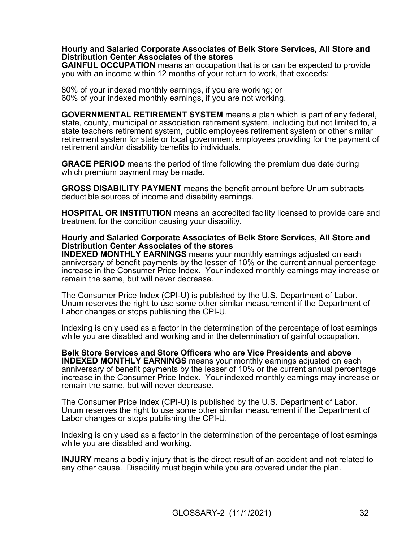## **Hourly and Salaried Corporate Associates of Belk Store Services, All Store and Distribution Center Associates of the stores**

**GAINFUL OCCUPATION** means an occupation that is or can be expected to provide you with an income within 12 months of your return to work, that exceeds:

80% of your indexed monthly earnings, if you are working; or 60% of your indexed monthly earnings, if you are not working.

**GOVERNMENTAL RETIREMENT SYSTEM** means a plan which is part of any federal, state, county, municipal or association retirement system, including but not limited to, a state teachers retirement system, public employees retirement system or other similar retirement system for state or local government employees providing for the payment of retirement and/or disability benefits to individuals.

**GRACE PERIOD** means the period of time following the premium due date during which premium payment may be made.

**GROSS DISABILITY PAYMENT** means the benefit amount before Unum subtracts deductible sources of income and disability earnings.

**HOSPITAL OR INSTITUTION** means an accredited facility licensed to provide care and treatment for the condition causing your disability.

### **Hourly and Salaried Corporate Associates of Belk Store Services, All Store and Distribution Center Associates of the stores**

**INDEXED MONTHLY EARNINGS** means your monthly earnings adjusted on each anniversary of benefit payments by the lesser of 10% or the current annual percentage increase in the Consumer Price Index. Your indexed monthly earnings may increase or remain the same, but will never decrease.

The Consumer Price Index (CPI-U) is published by the U.S. Department of Labor. Unum reserves the right to use some other similar measurement if the Department of Labor changes or stops publishing the CPI-U.

Indexing is only used as a factor in the determination of the percentage of lost earnings while you are disabled and working and in the determination of gainful occupation.

**Belk Store Services and Store Officers who are Vice Presidents and above INDEXED MONTHLY EARNINGS** means your monthly earnings adjusted on each anniversary of benefit payments by the lesser of 10% or the current annual percentage increase in the Consumer Price Index. Your indexed monthly earnings may increase or remain the same, but will never decrease.

The Consumer Price Index (CPI-U) is published by the U.S. Department of Labor. Unum reserves the right to use some other similar measurement if the Department of Labor changes or stops publishing the CPI-U.

Indexing is only used as a factor in the determination of the percentage of lost earnings while you are disabled and working.

**INJURY** means a bodily injury that is the direct result of an accident and not related to any other cause. Disability must begin while you are covered under the plan.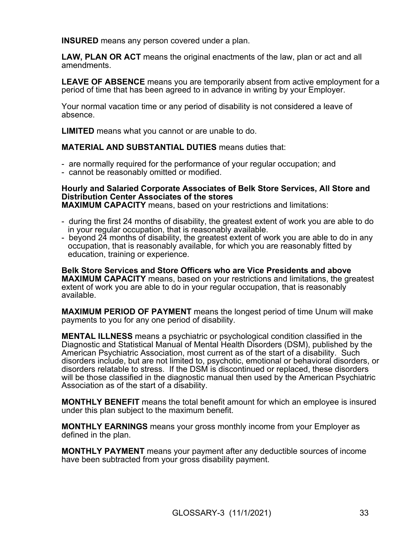**INSURED** means any person covered under a plan.

**LAW, PLAN OR ACT** means the original enactments of the law, plan or act and all amendments.

**LEAVE OF ABSENCE** means you are temporarily absent from active employment for a period of time that has been agreed to in advance in writing by your Employer.

Your normal vacation time or any period of disability is not considered a leave of absence.

**LIMITED** means what you cannot or are unable to do.

**MATERIAL AND SUBSTANTIAL DUTIES** means duties that:

- are normally required for the performance of your regular occupation; and
- cannot be reasonably omitted or modified.

# **Hourly and Salaried Corporate Associates of Belk Store Services, All Store and Distribution Center Associates of the stores**

**MAXIMUM CAPACITY** means, based on your restrictions and limitations:

- during the first 24 months of disability, the greatest extent of work you are able to do in your regular occupation, that is reasonably available.
- beyond 24 months of disability, the greatest extent of work you are able to do in any occupation, that is reasonably available, for which you are reasonably fitted by education, training or experience.

**Belk Store Services and Store Officers who are Vice Presidents and above MAXIMUM CAPACITY** means, based on your restrictions and limitations, the greatest extent of work you are able to do in your regular occupation, that is reasonably available.

**MAXIMUM PERIOD OF PAYMENT** means the longest period of time Unum will make payments to you for any one period of disability.

**MENTAL ILLNESS** means a psychiatric or psychological condition classified in the Diagnostic and Statistical Manual of Mental Health Disorders (DSM), published by the American Psychiatric Association, most current as of the start of a disability. Such disorders include, but are not limited to, psychotic, emotional or behavioral disorders, or disorders relatable to stress. If the DSM is discontinued or replaced, these disorders will be those classified in the diagnostic manual then used by the American Psychiatric Association as of the start of a disability.

**MONTHLY BENEFIT** means the total benefit amount for which an employee is insured under this plan subject to the maximum benefit.

**MONTHLY EARNINGS** means your gross monthly income from your Employer as defined in the plan.

**MONTHLY PAYMENT** means your payment after any deductible sources of income have been subtracted from your gross disability payment.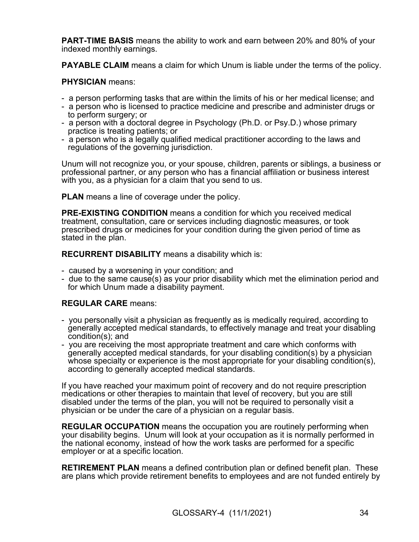**PART-TIME BASIS** means the ability to work and earn between 20% and 80% of your indexed monthly earnings.

**PAYABLE CLAIM** means a claim for which Unum is liable under the terms of the policy.

## **PHYSICIAN** means:

- a person performing tasks that are within the limits of his or her medical license; and
- a person who is licensed to practice medicine and prescribe and administer drugs or to perform surgery; or
- a person with a doctoral degree in Psychology (Ph.D. or Psy.D.) whose primary practice is treating patients; or
- a person who is a legally qualified medical practitioner according to the laws and regulations of the governing jurisdiction.

Unum will not recognize you, or your spouse, children, parents or siblings, a business or professional partner, or any person who has a financial affiliation or business interest with you, as a physician for a claim that you send to us.

**PLAN** means a line of coverage under the policy.

**PRE-EXISTING CONDITION** means a condition for which you received medical treatment, consultation, care or services including diagnostic measures, or took prescribed drugs or medicines for your condition during the given period of time as stated in the plan.

**RECURRENT DISABILITY** means a disability which is:

- caused by a worsening in your condition; and
- due to the same cause(s) as your prior disability which met the elimination period and for which Unum made a disability payment.

## **REGULAR CARE** means:

- you personally visit a physician as frequently as is medically required, according to generally accepted medical standards, to effectively manage and treat your disabling condition(s); and
- you are receiving the most appropriate treatment and care which conforms with generally accepted medical standards, for your disabling condition(s) by a physician whose specialty or experience is the most appropriate for your disabling condition(s), according to generally accepted medical standards.

If you have reached your maximum point of recovery and do not require prescription medications or other therapies to maintain that level of recovery, but you are still disabled under the terms of the plan, you will not be required to personally visit a physician or be under the care of a physician on a regular basis.

**REGULAR OCCUPATION** means the occupation you are routinely performing when your disability begins. Unum will look at your occupation as it is normally performed in the national economy, instead of how the work tasks are performed for a specific employer or at a specific location.

**RETIREMENT PLAN** means a defined contribution plan or defined benefit plan. These are plans which provide retirement benefits to employees and are not funded entirely by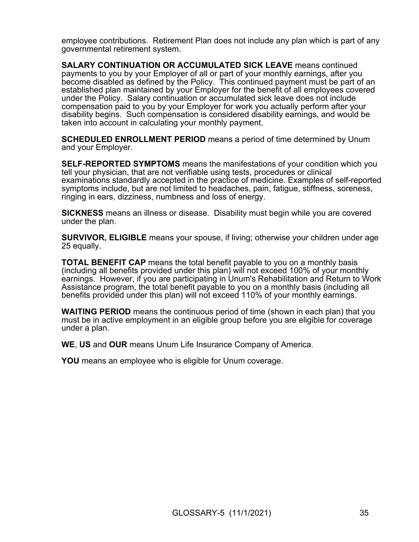employee contributions. Retirement Plan does not include any plan which is part of any governmental retirement system.

**SALARY CONTINUATION OR ACCUMULATED SICK LEAVE** means continued payments to you by your Employer of all or part of your monthly earnings, after you become disabled as defined by the Policy. This continued payment must be part of an established plan maintained by your Employer for the benefit of all employees covered under the Policy. Salary continuation or accumulated sick leave does not include compensation paid to you by your Employer for work you actually perform after your disability begins. Such compensation is considered disability earnings, and would be taken into account in calculating your monthly payment.

**SCHEDULED ENROLLMENT PERIOD** means a period of time determined by Unum and your Employer.

**SELF-REPORTED SYMPTOMS** means the manifestations of your condition which you tell your physician, that are not verifiable using tests, procedures or clinical examinations standardly accepted in the practice of medicine. Examples of self-reported symptoms include, but are not limited to headaches, pain, fatigue, stiffness, soreness, ringing in ears, dizziness, numbness and loss of energy.

**SICKNESS** means an illness or disease. Disability must begin while you are covered under the plan.

**SURVIVOR, ELIGIBLE** means your spouse, if living; otherwise your children under age 25 equally.

**TOTAL BENEFIT CAP** means the total benefit payable to you on a monthly basis (including all benefits provided under this plan) will not exceed 100% of your monthly earnings. However, if you are participating in Unum's Rehabilitation and Return to Work Assistance program, the total benefit payable to you on a monthly basis (including all benefits provided under this plan) will not exceed 110% of your monthly earnings.

**WAITING PERIOD** means the continuous period of time (shown in each plan) that you must be in active employment in an eligible group before you are eligible for coverage under a plan.

**WE**, **US** and **OUR** means Unum Life Insurance Company of America.

**YOU** means an employee who is eligible for Unum coverage.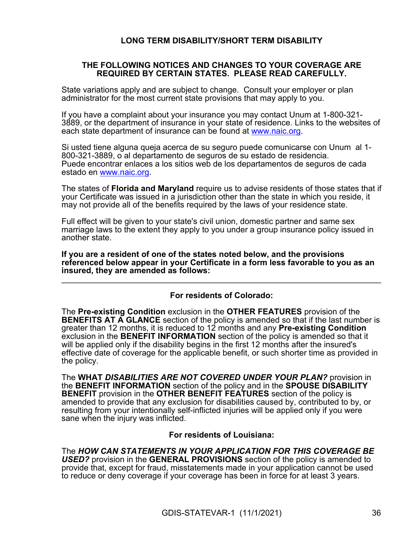## **LONG TERM DISABILITY/SHORT TERM DISABILITY**

### **THE FOLLOWING NOTICES AND CHANGES TO YOUR COVERAGE ARE REQUIRED BY CERTAIN STATES. PLEASE READ CAREFULLY.**

State variations apply and are subject to change. Consult your employer or plan administrator for the most current state provisions that may apply to you.

If you have a complaint about your insurance you may contact Unum at 1-800-321- 3889, or the department of insurance in your state of residence. Links to the websites of each state department of insurance can be found at [www.naic.org.](http://www.naic.org/)

Si usted tiene alguna queja acerca de su seguro puede comunicarse con Unum al 1- 800-321-3889, o al departamento de seguros de su estado de residencia. Puede encontrar enlaces a los sitios web de los departamentos de seguros de cada estado en [www.naic.org](http://www.naic.org/).

The states of **Florida and Maryland** require us to advise residents of those states that if your Certificate was issued in a jurisdiction other than the state in which you reside, it may not provide all of the benefits required by the laws of your residence state.

Full effect will be given to your state's civil union, domestic partner and same sex marriage laws to the extent they apply to you under a group insurance policy issued in another state.

**If you are a resident of one of the states noted below, and the provisions referenced below appear in your Certificate in a form less favorable to you as an insured, they are amended as follows:**  $\mathcal{L}_\text{max}$  and  $\mathcal{L}_\text{max}$  and  $\mathcal{L}_\text{max}$  and  $\mathcal{L}_\text{max}$  and  $\mathcal{L}_\text{max}$  and  $\mathcal{L}_\text{max}$ 

**For residents of Colorado:**

The **Pre-existing Condition** exclusion in the **OTHER FEATURES** provision of the **BENEFITS AT A GLANCE** section of the policy is amended so that if the last number is greater than 12 months, it is reduced to 12 months and any **Pre-existing Condition** exclusion in the **BENEFIT INFORMATION** section of the policy is amended so that it will be applied only if the disability begins in the first 12 months after the insured's effective date of coverage for the applicable benefit, or such shorter time as provided in the policy.

The **WHAT** *DISABILITIES ARE NOT COVERED UNDER YOUR PLAN?* provision in the **BENEFIT INFORMATION** section of the policy and in the **SPOUSE DISABILITY BENEFIT** provision in the **OTHER BENEFIT FEATURES** section of the policy is amended to provide that any exclusion for disabilities caused by, contributed to by, or resulting from your intentionally self-inflicted injuries will be applied only if you were sane when the injury was inflicted.

**For residents of Louisiana:**

The *HOW CAN STATEMENTS IN YOUR APPLICATION FOR THIS COVERAGE BE USED?* provision in the **GENERAL PROVISIONS** section of the policy is amended to provide that, except for fraud, misstatements made in your application cannot be used to reduce or deny coverage if your coverage has been in force for at least 3 years.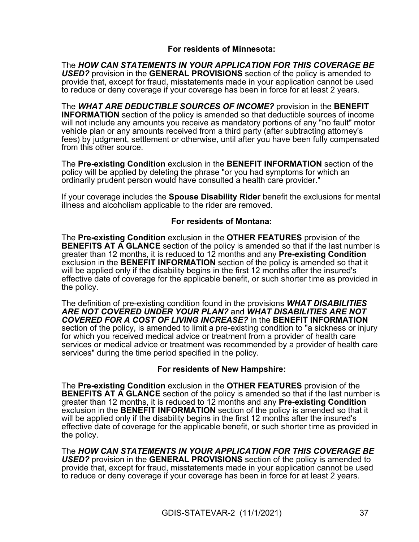## **For residents of Minnesota:**

The *HOW CAN STATEMENTS IN YOUR APPLICATION FOR THIS COVERAGE BE USED?* provision in the **GENERAL PROVISIONS** section of the policy is amended to provide that, except for fraud, misstatements made in your application cannot be used to reduce or deny coverage if your coverage has been in force for at least 2 years.

The *WHAT ARE DEDUCTIBLE SOURCES OF INCOME?* provision in the **BENEFIT INFORMATION** section of the policy is amended so that deductible sources of income will not include any amounts you receive as mandatory portions of any "no fault" motor vehicle plan or any amounts received from a third party (after subtracting attorney's fees) by judgment, settlement or otherwise, until after you have been fully compensated from this other source.

The **Pre-existing Condition** exclusion in the **BENEFIT INFORMATION** section of the policy will be applied by deleting the phrase "or you had symptoms for which an ordinarily prudent person would have consulted a health care provider."

If your coverage includes the **Spouse Disability Rider** benefit the exclusions for mental illness and alcoholism applicable to the rider are removed.

### **For residents of Montana:**

The **Pre-existing Condition** exclusion in the **OTHER FEATURES** provision of the **BENEFITS AT A GLANCE** section of the policy is amended so that if the last number is greater than 12 months, it is reduced to 12 months and any **Pre-existing Condition** exclusion in the **BENEFIT INFORMATION** section of the policy is amended so that it will be applied only if the disability begins in the first 12 months after the insured's effective date of coverage for the applicable benefit, or such shorter time as provided in the policy.

The definition of pre-existing condition found in the provisions *WHAT DISABILITIES ARE NOT COVERED UNDER YOUR PLAN?* and *WHAT DISABILITIES ARE NOT COVERED FOR A COST OF LIVING INCREASE?* in the **BENEFIT INFORMATION** section of the policy, is amended to limit a pre-existing condition to "a sickness or injury for which you received medical advice or treatment from a provider of health care services or medical advice or treatment was recommended by a provider of health care services" during the time period specified in the policy.

## **For residents of New Hampshire:**

The **Pre-existing Condition** exclusion in the **OTHER FEATURES** provision of the **BENEFITS AT A GLANCE** section of the policy is amended so that if the last number is greater than 12 months, it is reduced to 12 months and any **Pre-existing Condition** exclusion in the **BENEFIT INFORMATION** section of the policy is amended so that it will be applied only if the disability begins in the first 12 months after the insured's effective date of coverage for the applicable benefit, or such shorter time as provided in the policy.

The *HOW CAN STATEMENTS IN YOUR APPLICATION FOR THIS COVERAGE BE USED?* provision in the **GENERAL PROVISIONS** section of the policy is amended to provide that, except for fraud, misstatements made in your application cannot be used to reduce or deny coverage if your coverage has been in force for at least 2 years.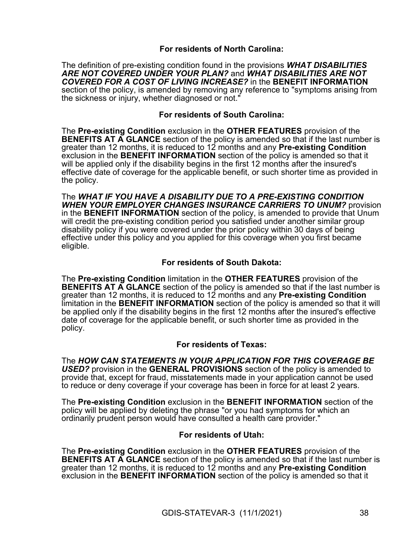## **For residents of North Carolina:**

The definition of pre-existing condition found in the provisions *WHAT DISABILITIES ARE NOT COVERED UNDER YOUR PLAN?* and *WHAT DISABILITIES ARE NOT COVERED FOR A COST OF LIVING INCREASE?* in the **BENEFIT INFORMATION** section of the policy, is amended by removing any reference to "symptoms arising from the sickness or injury, whether diagnosed or not."

## **For residents of South Carolina:**

The **Pre-existing Condition** exclusion in the **OTHER FEATURES** provision of the **BENEFITS AT A GLANCE** section of the policy is amended so that if the last number is greater than 12 months, it is reduced to 12 months and any **Pre-existing Condition** exclusion in the **BENEFIT INFORMATION** section of the policy is amended so that it will be applied only if the disability begins in the first 12 months after the insured's effective date of coverage for the applicable benefit, or such shorter time as provided in the policy.

The *WHAT IF YOU HAVE A DISABILITY DUE TO A PRE-EXISTING CONDITION WHEN YOUR EMPLOYER CHANGES INSURANCE CARRIERS TO UNUM?* provision in the **BENEFIT INFORMATION** section of the policy, is amended to provide that Unum will credit the pre-existing condition period you satisfied under another similar group disability policy if you were covered under the prior policy within 30 days of being effective under this policy and you applied for this coverage when you first became eligible.

## **For residents of South Dakota:**

The **Pre-existing Condition** limitation in the **OTHER FEATURES** provision of the **BENEFITS AT A GLANCE** section of the policy is amended so that if the last number is greater than 12 months, it is reduced to 12 months and any **Pre-existing Condition** limitation in the **BENEFIT INFORMATION** section of the policy is amended so that it will be applied only if the disability begins in the first 12 months after the insured's effective date of coverage for the applicable benefit, or such shorter time as provided in the policy.

## **For residents of Texas:**

The *HOW CAN STATEMENTS IN YOUR APPLICATION FOR THIS COVERAGE BE USED?* provision in the **GENERAL PROVISIONS** section of the policy is amended to provide that, except for fraud, misstatements made in your application cannot be used to reduce or deny coverage if your coverage has been in force for at least 2 years.

The **Pre-existing Condition** exclusion in the **BENEFIT INFORMATION** section of the policy will be applied by deleting the phrase "or you had symptoms for which an ordinarily prudent person would have consulted a health care provider."

### **For residents of Utah:**

The **Pre-existing Condition** exclusion in the **OTHER FEATURES** provision of the **BENEFITS AT A GLANCE** section of the policy is amended so that if the last number is greater than 12 months, it is reduced to 12 months and any **Pre-existing Condition** exclusion in the **BENEFIT INFORMATION** section of the policy is amended so that it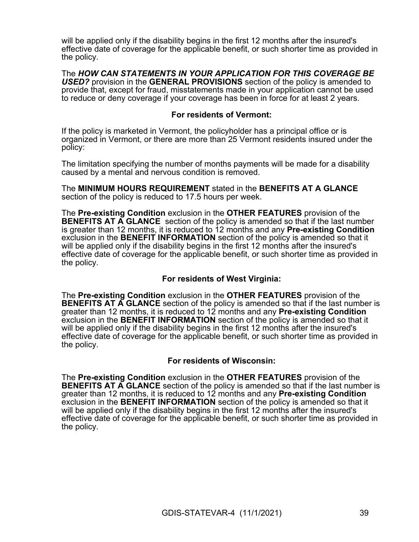will be applied only if the disability begins in the first 12 months after the insured's effective date of coverage for the applicable benefit, or such shorter time as provided in the policy.

The *HOW CAN STATEMENTS IN YOUR APPLICATION FOR THIS COVERAGE BE USED?* provision in the **GENERAL PROVISIONS** section of the policy is amended to provide that, except for fraud, misstatements made in your application cannot be used to reduce or deny coverage if your coverage has been in force for at least 2 years.

## **For residents of Vermont:**

If the policy is marketed in Vermont, the policyholder has a principal office or is organized in Vermont, or there are more than 25 Vermont residents insured under the policy:

The limitation specifying the number of months payments will be made for a disability caused by a mental and nervous condition is removed.

The **MINIMUM HOURS REQUIREMENT** stated in the **BENEFITS AT A GLANCE** section of the policy is reduced to 17.5 hours per week.

The **Pre-existing Condition** exclusion in the **OTHER FEATURES** provision of the **BENEFITS AT A GLANCE** section of the policy is amended so that if the last number is greater than 12 months, it is reduced to 12 months and any **Pre-existing Condition** exclusion in the **BENEFIT INFORMATION** section of the policy is amended so that it will be applied only if the disability begins in the first 12 months after the insured's effective date of coverage for the applicable benefit, or such shorter time as provided in the policy.

## **For residents of West Virginia:**

The **Pre-existing Condition** exclusion in the **OTHER FEATURES** provision of the **BENEFITS AT A GLANCE** section of the policy is amended so that if the last number is greater than 12 months, it is reduced to 12 months and any **Pre-existing Condition** exclusion in the **BENEFIT INFORMATION** section of the policy is amended so that it will be applied only if the disability begins in the first 12 months after the insured's effective date of coverage for the applicable benefit, or such shorter time as provided in the policy.

### **For residents of Wisconsin:**

The **Pre-existing Condition** exclusion in the **OTHER FEATURES** provision of the **BENEFITS AT A GLANCE** section of the policy is amended so that if the last number is greater than 12 months, it is reduced to 12 months and any **Pre-existing Condition** exclusion in the **BENEFIT INFORMATION** section of the policy is amended so that it will be applied only if the disability begins in the first 12 months after the insured's effective date of coverage for the applicable benefit, or such shorter time as provided in the policy.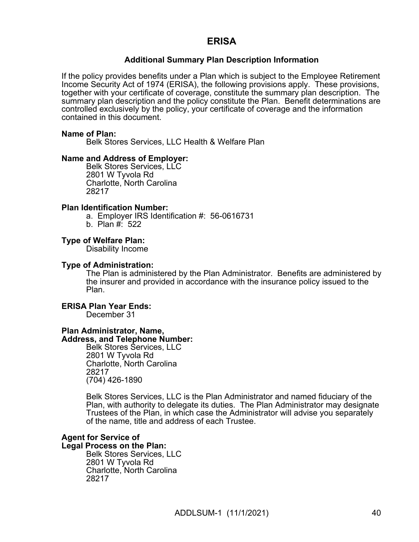# **ERISA**

## **Additional Summary Plan Description Information**

If the policy provides benefits under a Plan which is subject to the Employee Retirement Income Security Act of 1974 (ERISA), the following provisions apply. These provisions, together with your certificate of coverage, constitute the summary plan description. The summary plan description and the policy constitute the Plan. Benefit determinations are controlled exclusively by the policy, your certificate of coverage and the information contained in this document.

### **Name of Plan:**

Belk Stores Services, LLC Health & Welfare Plan

### **Name and Address of Employer:**

Belk Stores Services, LLC 2801 W Tyvola Rd Charlotte, North Carolina 28217

### **Plan Identification Number:**

- a. Employer IRS Identification #: 56-0616731
- b. Plan #: 522

### **Type of Welfare Plan:**

Disability Income

### **Type of Administration:**

The Plan is administered by the Plan Administrator. Benefits are administered by the insurer and provided in accordance with the insurance policy issued to the Plan.

### **ERISA Plan Year Ends:**

December 31

### **Plan Administrator, Name, Address, and Telephone Number:**

Belk Stores Services, LLC 2801 W Tyvola Rd Charlotte, North Carolina 28217 (704) 426-1890

Belk Stores Services, LLC is the Plan Administrator and named fiduciary of the Plan, with authority to delegate its duties. The Plan Administrator may designate Trustees of the Plan, in which case the Administrator will advise you separately of the name, title and address of each Trustee.

# **Agent for Service of**

# **Legal Process on the Plan:**

Belk Stores Services, LLC 2801 W Tyvola Rd Charlotte, North Carolina 28217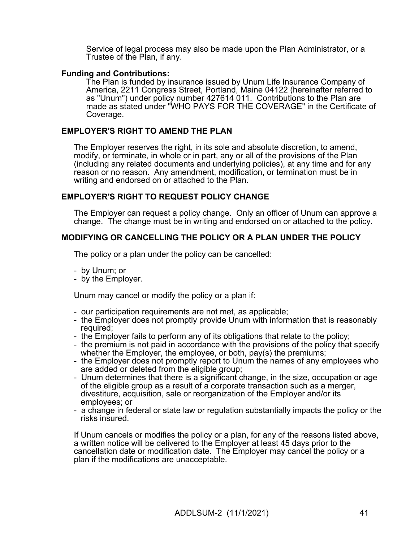Service of legal process may also be made upon the Plan Administrator, or a Trustee of the Plan, if any.

### **Funding and Contributions:**

The Plan is funded by insurance issued by Unum Life Insurance Company of America, 2211 Congress Street, Portland, Maine 04122 (hereinafter referred to as "Unum") under policy number 427614 011. Contributions to the Plan are made as stated under "WHO PAYS FOR THE COVERAGE" in the Certificate of Coverage.

## **EMPLOYER'S RIGHT TO AMEND THE PLAN**

The Employer reserves the right, in its sole and absolute discretion, to amend, modify, or terminate, in whole or in part, any or all of the provisions of the Plan (including any related documents and underlying policies), at any time and for any reason or no reason. Any amendment, modification, or termination must be in writing and endorsed on or attached to the Plan.

### **EMPLOYER'S RIGHT TO REQUEST POLICY CHANGE**

The Employer can request a policy change. Only an officer of Unum can approve a change. The change must be in writing and endorsed on or attached to the policy.

### **MODIFYING OR CANCELLING THE POLICY OR A PLAN UNDER THE POLICY**

The policy or a plan under the policy can be cancelled:

- by Unum; or

- by the Employer.

Unum may cancel or modify the policy or a plan if:

- our participation requirements are not met, as applicable;
- the Employer does not promptly provide Unum with information that is reasonably required:
- the Employer fails to perform any of its obligations that relate to the policy;
- the premium is not paid in accordance with the provisions of the policy that specify whether the Employer, the employee, or both, pay(s) the premiums;
- the Employer does not promptly report to Unum the names of any employees who are added or deleted from the eligible group;
- Unum determines that there is a significant change, in the size, occupation or age of the eligible group as a result of a corporate transaction such as a merger, divestiture, acquisition, sale or reorganization of the Employer and/or its employees; or
- a change in federal or state law or regulation substantially impacts the policy or the risks insured.

If Unum cancels or modifies the policy or a plan, for any of the reasons listed above, a written notice will be delivered to the Employer at least 45 days prior to the cancellation date or modification date. The Employer may cancel the policy or a plan if the modifications are unacceptable.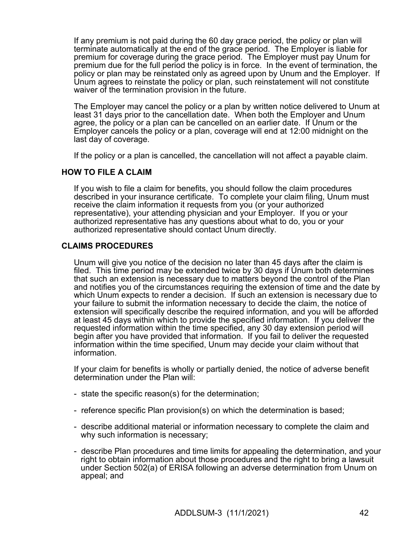If any premium is not paid during the 60 day grace period, the policy or plan will terminate automatically at the end of the grace period. The Employer is liable for premium for coverage during the grace period. The Employer must pay Unum for premium due for the full period the policy is in force. In the event of termination, the policy or plan may be reinstated only as agreed upon by Unum and the Employer. If Unum agrees to reinstate the policy or plan, such reinstatement will not constitute waiver of the termination provision in the future.

The Employer may cancel the policy or a plan by written notice delivered to Unum at least 31 days prior to the cancellation date. When both the Employer and Unum agree, the policy or a plan can be cancelled on an earlier date. If Unum or the Employer cancels the policy or a plan, coverage will end at 12:00 midnight on the last day of coverage.

If the policy or a plan is cancelled, the cancellation will not affect a payable claim.

## **HOW TO FILE A CLAIM**

If you wish to file a claim for benefits, you should follow the claim procedures described in your insurance certificate. To complete your claim filing, Unum must receive the claim information it requests from you (or your authorized representative), your attending physician and your Employer. If you or your authorized representative has any questions about what to do, you or your authorized representative should contact Unum directly.

## **CLAIMS PROCEDURES**

Unum will give you notice of the decision no later than 45 days after the claim is filed. This time period may be extended twice by 30 days if Unum both determines that such an extension is necessary due to matters beyond the control of the Plan and notifies you of the circumstances requiring the extension of time and the date by which Unum expects to render a decision. If such an extension is necessary due to your failure to submit the information necessary to decide the claim, the notice of extension will specifically describe the required information, and you will be afforded at least 45 days within which to provide the specified information. If you deliver the requested information within the time specified, any 30 day extension period will begin after you have provided that information. If you fail to deliver the requested information within the time specified, Unum may decide your claim without that information.

If your claim for benefits is wholly or partially denied, the notice of adverse benefit determination under the Plan will:

- state the specific reason(s) for the determination;
- reference specific Plan provision(s) on which the determination is based;
- describe additional material or information necessary to complete the claim and why such information is necessary;
- describe Plan procedures and time limits for appealing the determination, and your right to obtain information about those procedures and the right to bring a lawsuit under Section 502(a) of ERISA following an adverse determination from Unum on appeal; and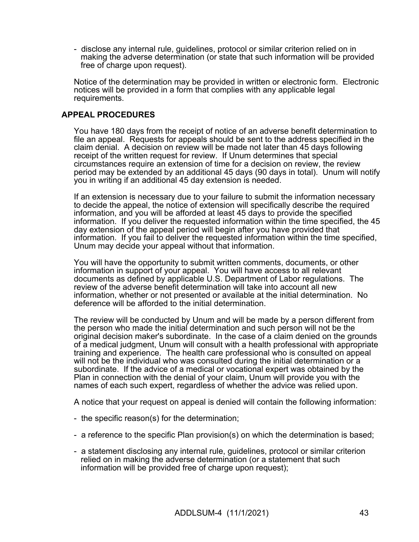- disclose any internal rule, guidelines, protocol or similar criterion relied on in making the adverse determination (or state that such information will be provided free of charge upon request).

Notice of the determination may be provided in written or electronic form. Electronic notices will be provided in a form that complies with any applicable legal requirements.

## **APPEAL PROCEDURES**

You have 180 days from the receipt of notice of an adverse benefit determination to file an appeal. Requests for appeals should be sent to the address specified in the claim denial. A decision on review will be made not later than 45 days following receipt of the written request for review. If Unum determines that special circumstances require an extension of time for a decision on review, the review period may be extended by an additional 45 days (90 days in total). Unum will notify you in writing if an additional 45 day extension is needed.

If an extension is necessary due to your failure to submit the information necessary to decide the appeal, the notice of extension will specifically describe the required information, and you will be afforded at least 45 days to provide the specified information. If you deliver the requested information within the time specified, the 45 day extension of the appeal period will begin after you have provided that information. If you fail to deliver the requested information within the time specified, Unum may decide your appeal without that information.

You will have the opportunity to submit written comments, documents, or other information in support of your appeal. You will have access to all relevant documents as defined by applicable U.S. Department of Labor regulations. The review of the adverse benefit determination will take into account all new information, whether or not presented or available at the initial determination. No deference will be afforded to the initial determination.

The review will be conducted by Unum and will be made by a person different from the person who made the initial determination and such person will not be the original decision maker's subordinate. In the case of a claim denied on the grounds of a medical judgment, Unum will consult with a health professional with appropriate training and experience. The health care professional who is consulted on appeal will not be the individual who was consulted during the initial determination or a subordinate. If the advice of a medical or vocational expert was obtained by the Plan in connection with the denial of your claim, Unum will provide you with the names of each such expert, regardless of whether the advice was relied upon.

A notice that your request on appeal is denied will contain the following information:

- the specific reason(s) for the determination;
- a reference to the specific Plan provision(s) on which the determination is based;
- a statement disclosing any internal rule, guidelines, protocol or similar criterion relied on in making the adverse determination (or a statement that such information will be provided free of charge upon request);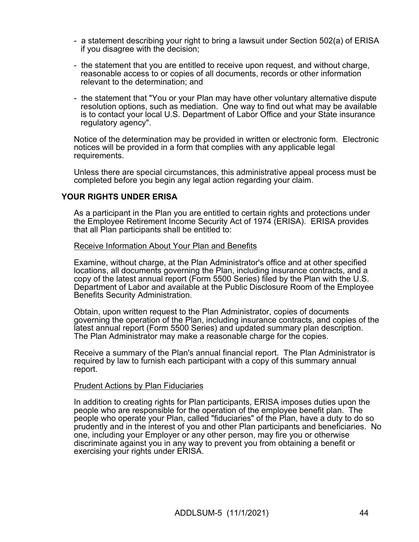- a statement describing your right to bring a lawsuit under Section 502(a) of ERISA if you disagree with the decision;
- the statement that you are entitled to receive upon request, and without charge, reasonable access to or copies of all documents, records or other information relevant to the determination; and
- the statement that "You or your Plan may have other voluntary alternative dispute resolution options, such as mediation. One way to find out what may be available is to contact your local U.S. Department of Labor Office and your State insurance regulatory agency".

Notice of the determination may be provided in written or electronic form. Electronic notices will be provided in a form that complies with any applicable legal requirements.

Unless there are special circumstances, this administrative appeal process must be completed before you begin any legal action regarding your claim.

## **YOUR RIGHTS UNDER ERISA**

As a participant in the Plan you are entitled to certain rights and protections under the Employee Retirement Income Security Act of 1974 (ERISA). ERISA provides that all Plan participants shall be entitled to:

### Receive Information About Your Plan and Benefits

Examine, without charge, at the Plan Administrator's office and at other specified locations, all documents governing the Plan, including insurance contracts, and a copy of the latest annual report (Form 5500 Series) filed by the Plan with the U.S. Department of Labor and available at the Public Disclosure Room of the Employee Benefits Security Administration.

Obtain, upon written request to the Plan Administrator, copies of documents governing the operation of the Plan, including insurance contracts, and copies of the latest annual report (Form 5500 Series) and updated summary plan description. The Plan Administrator may make a reasonable charge for the copies.

Receive a summary of the Plan's annual financial report. The Plan Administrator is required by law to furnish each participant with a copy of this summary annual report.

### Prudent Actions by Plan Fiduciaries

In addition to creating rights for Plan participants, ERISA imposes duties upon the people who are responsible for the operation of the employee benefit plan. The people who operate your Plan, called "fiduciaries" of the Plan, have a duty to do so prudently and in the interest of you and other Plan participants and beneficiaries. No one, including your Employer or any other person, may fire you or otherwise discriminate against you in any way to prevent you from obtaining a benefit or exercising your rights under ERISA.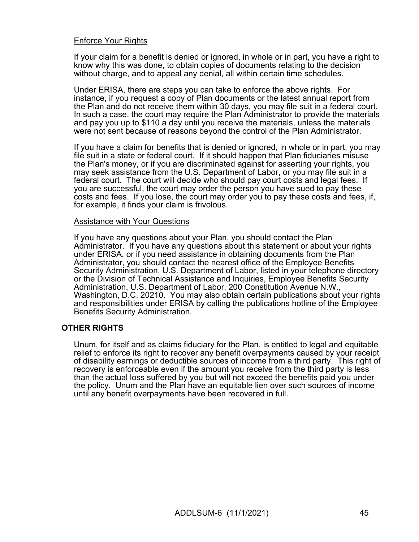## Enforce Your Rights

If your claim for a benefit is denied or ignored, in whole or in part, you have a right to know why this was done, to obtain copies of documents relating to the decision without charge, and to appeal any denial, all within certain time schedules.

Under ERISA, there are steps you can take to enforce the above rights. For instance, if you request a copy of Plan documents or the latest annual report from the Plan and do not receive them within 30 days, you may file suit in a federal court. In such a case, the court may require the Plan Administrator to provide the materials and pay you up to \$110 a day until you receive the materials, unless the materials were not sent because of reasons beyond the control of the Plan Administrator.

If you have a claim for benefits that is denied or ignored, in whole or in part, you may file suit in a state or federal court. If it should happen that Plan fiduciaries misuse the Plan's money, or if you are discriminated against for asserting your rights, you may seek assistance from the U.S. Department of Labor, or you may file suit in a federal court. The court will decide who should pay court costs and legal fees. If you are successful, the court may order the person you have sued to pay these costs and fees. If you lose, the court may order you to pay these costs and fees, if, for example, it finds your claim is frivolous.

### Assistance with Your Questions

If you have any questions about your Plan, you should contact the Plan Administrator. If you have any questions about this statement or about your rights under ERISA, or if you need assistance in obtaining documents from the Plan Administrator, you should contact the nearest office of the Employee Benefits Security Administration, U.S. Department of Labor, listed in your telephone directory or the Division of Technical Assistance and Inquiries, Employee Benefits Security Administration, U.S. Department of Labor, 200 Constitution Avenue N.W., Washington, D.C. 20210. You may also obtain certain publications about your rights and responsibilities under ERISA by calling the publications hotline of the Employee Benefits Security Administration.

## **OTHER RIGHTS**

Unum, for itself and as claims fiduciary for the Plan, is entitled to legal and equitable relief to enforce its right to recover any benefit overpayments caused by your receipt of disability earnings or deductible sources of income from a third party. This right of recovery is enforceable even if the amount you receive from the third party is less than the actual loss suffered by you but will not exceed the benefits paid you under the policy. Unum and the Plan have an equitable lien over such sources of income until any benefit overpayments have been recovered in full.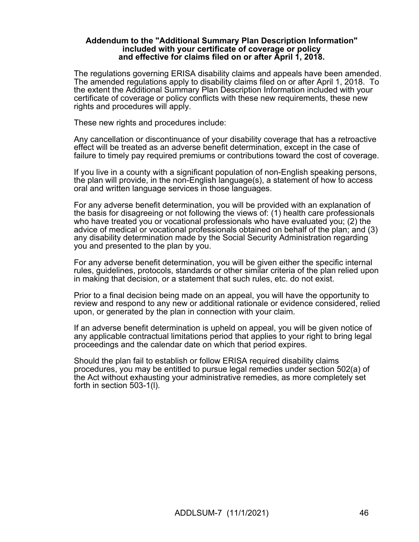#### **Addendum to the "Additional Summary Plan Description Information" included with your certificate of coverage or policy and effective for claims filed on or after April 1, 2018.**

The regulations governing ERISA disability claims and appeals have been amended. The amended regulations apply to disability claims filed on or after April 1, 2018. To the extent the Additional Summary Plan Description Information included with your certificate of coverage or policy conflicts with these new requirements, these new rights and procedures will apply.

These new rights and procedures include:

Any cancellation or discontinuance of your disability coverage that has a retroactive effect will be treated as an adverse benefit determination, except in the case of failure to timely pay required premiums or contributions toward the cost of coverage.

If you live in a county with a significant population of non-English speaking persons, the plan will provide, in the non-English language(s), a statement of how to access oral and written language services in those languages.

For any adverse benefit determination, you will be provided with an explanation of the basis for disagreeing or not following the views of: (1) health care professionals who have treated you or vocational professionals who have evaluated you; (2) the advice of medical or vocational professionals obtained on behalf of the plan; and (3) any disability determination made by the Social Security Administration regarding you and presented to the plan by you.

For any adverse benefit determination, you will be given either the specific internal rules, guidelines, protocols, standards or other similar criteria of the plan relied upon in making that decision, or a statement that such rules, etc. do not exist.

Prior to a final decision being made on an appeal, you will have the opportunity to review and respond to any new or additional rationale or evidence considered, relied upon, or generated by the plan in connection with your claim.

If an adverse benefit determination is upheld on appeal, you will be given notice of any applicable contractual limitations period that applies to your right to bring legal proceedings and the calendar date on which that period expires.

Should the plan fail to establish or follow ERISA required disability claims procedures, you may be entitled to pursue legal remedies under section 502(a) of the Act without exhausting your administrative remedies, as more completely set forth in section 503-1(l).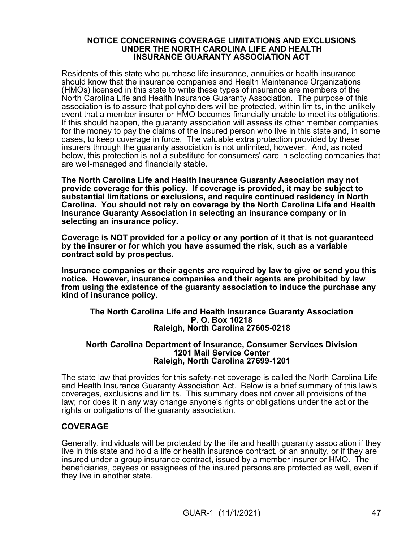### **NOTICE CONCERNING COVERAGE LIMITATIONS AND EXCLUSIONS UNDER THE NORTH CAROLINA LIFE AND HEALTH INSURANCE GUARANTY ASSOCIATION ACT**

Residents of this state who purchase life insurance, annuities or health insurance should know that the insurance companies and Health Maintenance Organizations (HMOs) licensed in this state to write these types of insurance are members of the North Carolina Life and Health Insurance Guaranty Association. The purpose of this association is to assure that policyholders will be protected, within limits, in the unlikely event that a member insurer or HMO becomes financially unable to meet its obligations. If this should happen, the guaranty association will assess its other member companies for the money to pay the claims of the insured person who live in this state and, in some cases, to keep coverage in force. The valuable extra protection provided by these insurers through the guaranty association is not unlimited, however. And, as noted below, this protection is not a substitute for consumers' care in selecting companies that are well-managed and financially stable.

**The North Carolina Life and Health Insurance Guaranty Association may not provide coverage for this policy. If coverage is provided, it may be subject to substantial limitations or exclusions, and require continued residency in North Carolina. You should not rely on coverage by the North Carolina Life and Health Insurance Guaranty Association in selecting an insurance company or in selecting an insurance policy.**

**Coverage is NOT provided for a policy or any portion of it that is not guaranteed by the insurer or for which you have assumed the risk, such as a variable contract sold by prospectus.**

**Insurance companies or their agents are required by law to give or send you this notice. However, insurance companies and their agents are prohibited by law from using the existence of the guaranty association to induce the purchase any kind of insurance policy.**

### **The North Carolina Life and Health Insurance Guaranty Association P. O. Box 10218 Raleigh, North Carolina 27605-0218**

### **North Carolina Department of Insurance, Consumer Services Division 1201 Mail Service Center Raleigh, North Carolina 27699-1201**

The state law that provides for this safety-net coverage is called the North Carolina Life and Health Insurance Guaranty Association Act. Below is a brief summary of this law's coverages, exclusions and limits. This summary does not cover all provisions of the law; nor does it in any way change anyone's rights or obligations under the act or the rights or obligations of the guaranty association.

## **COVERAGE**

Generally, individuals will be protected by the life and health guaranty association if they live in this state and hold a life or health insurance contract, or an annuity, or if they are insured under a group insurance contract, issued by a member insurer or HMO. The beneficiaries, payees or assignees of the insured persons are protected as well, even if they live in another state.